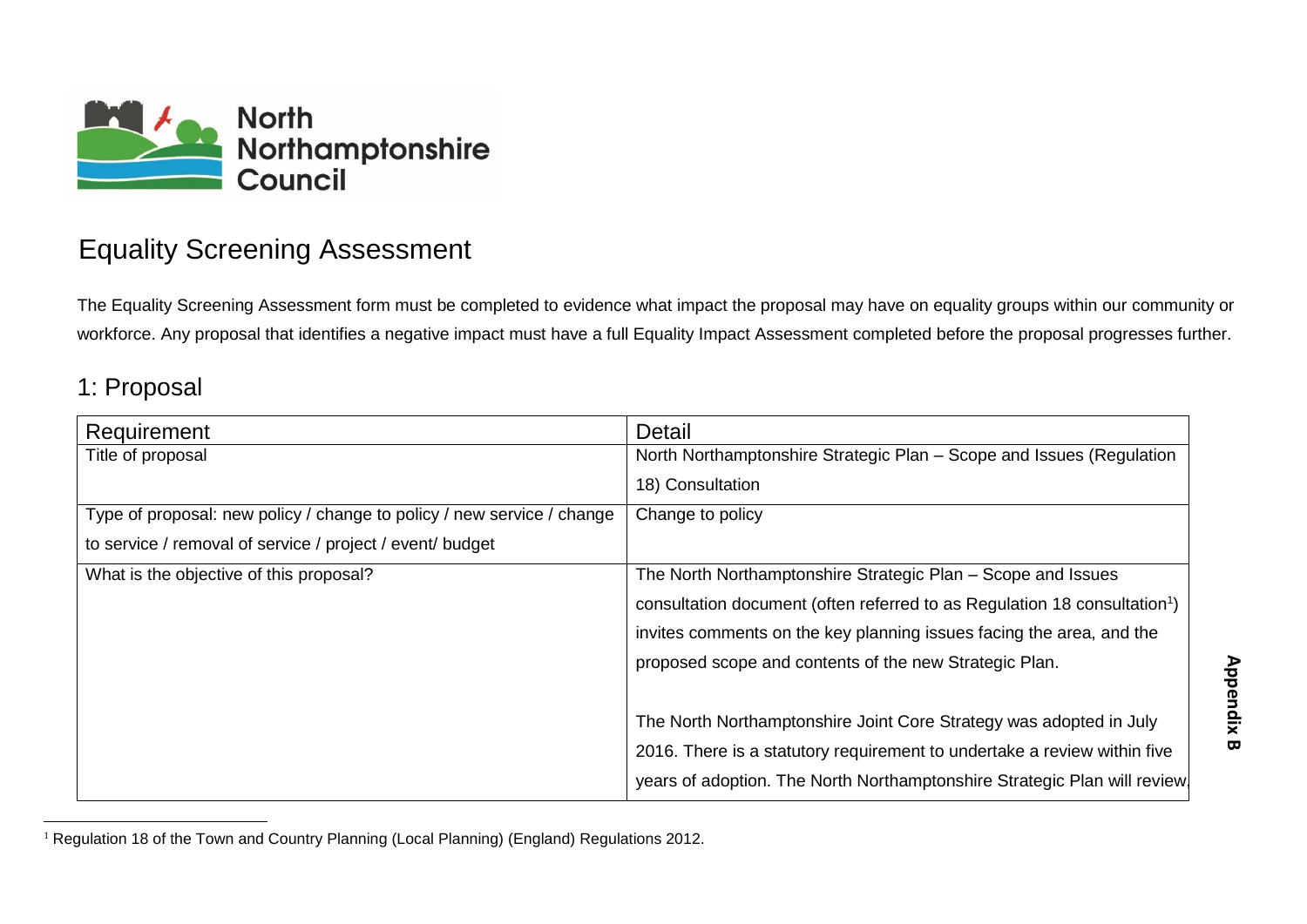

## Equality Screening Assessment

The Equality Screening Assessment form must be completed to evidence what impact the proposal may have on equality groups within our community or workforce. Any proposal that identifies a negative impact must have a full Equality Impact Assessment completed before the proposal progresses further.

#### 1: Proposal

| Requirement                                                            | Detail                                                                                |
|------------------------------------------------------------------------|---------------------------------------------------------------------------------------|
| Title of proposal                                                      | North Northamptonshire Strategic Plan - Scope and Issues (Regulation                  |
|                                                                        | 18) Consultation                                                                      |
| Type of proposal: new policy / change to policy / new service / change | Change to policy                                                                      |
| to service / removal of service / project / event/ budget              |                                                                                       |
| What is the objective of this proposal?                                | The North Northamptonshire Strategic Plan – Scope and Issues                          |
|                                                                        | consultation document (often referred to as Regulation 18 consultation <sup>1</sup> ) |
|                                                                        | invites comments on the key planning issues facing the area, and the                  |
|                                                                        | proposed scope and contents of the new Strategic Plan.                                |
|                                                                        |                                                                                       |
|                                                                        | The North Northamptonshire Joint Core Strategy was adopted in July                    |
|                                                                        | 2016. There is a statutory requirement to undertake a review within five              |
|                                                                        | years of adoption. The North Northamptonshire Strategic Plan will review              |

<sup>&</sup>lt;sup>1</sup> Regulation 18 of the Town and Country Planning (Local Planning) (England) Regulations 2012.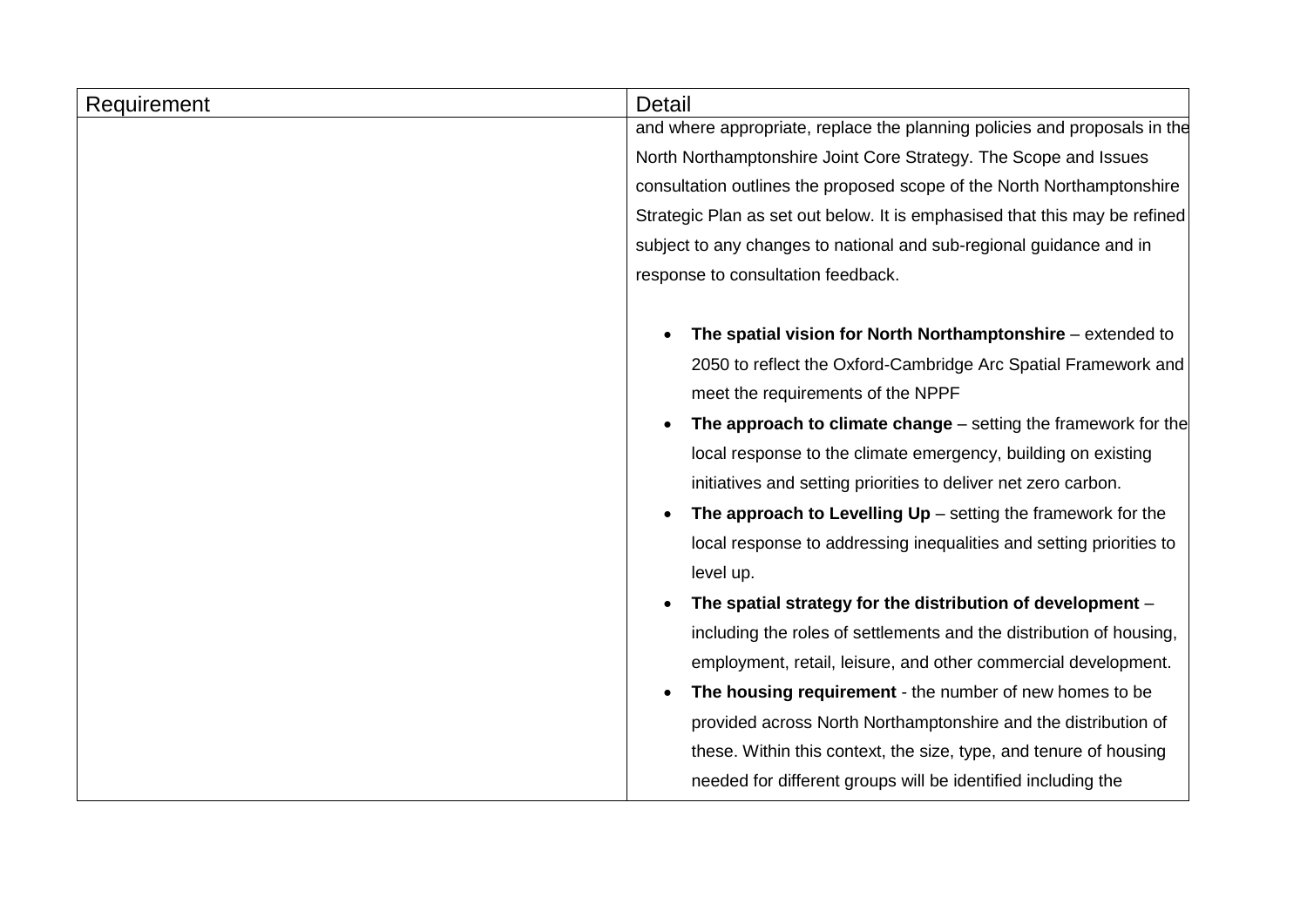| Requirement | <b>Detail</b>                                                              |  |  |
|-------------|----------------------------------------------------------------------------|--|--|
|             | and where appropriate, replace the planning policies and proposals in the  |  |  |
|             | North Northamptonshire Joint Core Strategy. The Scope and Issues           |  |  |
|             | consultation outlines the proposed scope of the North Northamptonshire     |  |  |
|             | Strategic Plan as set out below. It is emphasised that this may be refined |  |  |
|             | subject to any changes to national and sub-regional guidance and in        |  |  |
|             | response to consultation feedback.                                         |  |  |
|             | The spatial vision for North Northamptonshire $-$ extended to              |  |  |
|             | 2050 to reflect the Oxford-Cambridge Arc Spatial Framework and             |  |  |
|             | meet the requirements of the NPPF                                          |  |  |
|             | The approach to climate change $-$ setting the framework for the           |  |  |
|             |                                                                            |  |  |
|             | local response to the climate emergency, building on existing              |  |  |
|             | initiatives and setting priorities to deliver net zero carbon.             |  |  |
|             | The approach to Levelling $Up$ – setting the framework for the             |  |  |
|             | local response to addressing inequalities and setting priorities to        |  |  |
|             | level up.                                                                  |  |  |
|             | The spatial strategy for the distribution of development -                 |  |  |
|             | including the roles of settlements and the distribution of housing,        |  |  |
|             | employment, retail, leisure, and other commercial development.             |  |  |
|             | The housing requirement - the number of new homes to be<br>$\bullet$       |  |  |
|             | provided across North Northamptonshire and the distribution of             |  |  |
|             | these. Within this context, the size, type, and tenure of housing          |  |  |
|             | needed for different groups will be identified including the               |  |  |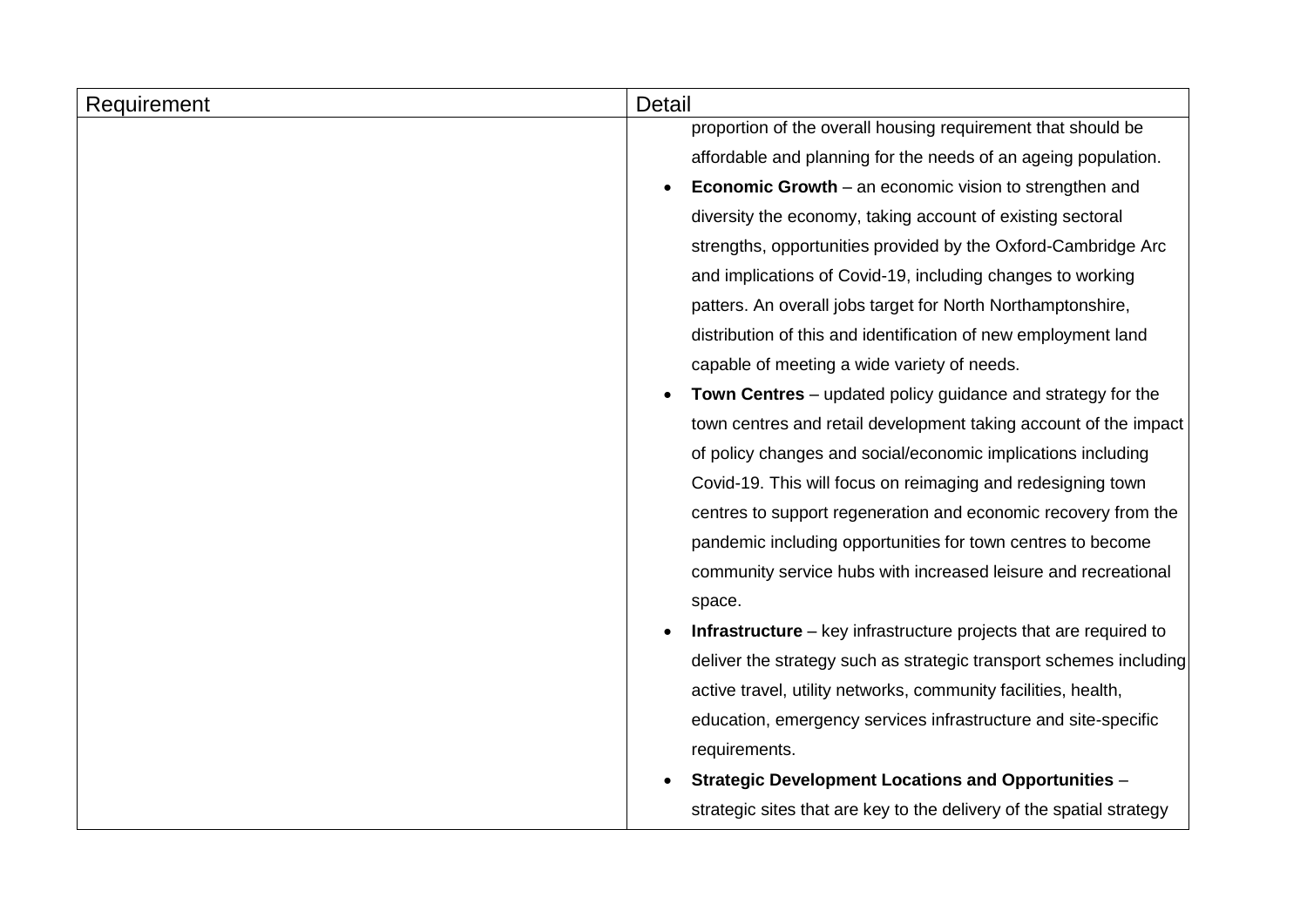| Requirement | <b>Detail</b>                                                        |  |  |
|-------------|----------------------------------------------------------------------|--|--|
|             | proportion of the overall housing requirement that should be         |  |  |
|             | affordable and planning for the needs of an ageing population.       |  |  |
|             | <b>Economic Growth</b> – an economic vision to strengthen and        |  |  |
|             | diversity the economy, taking account of existing sectoral           |  |  |
|             | strengths, opportunities provided by the Oxford-Cambridge Arc        |  |  |
|             | and implications of Covid-19, including changes to working           |  |  |
|             | patters. An overall jobs target for North Northamptonshire,          |  |  |
|             | distribution of this and identification of new employment land       |  |  |
|             | capable of meeting a wide variety of needs.                          |  |  |
|             | Town Centres – updated policy guidance and strategy for the          |  |  |
|             | town centres and retail development taking account of the impact     |  |  |
|             | of policy changes and social/economic implications including         |  |  |
|             | Covid-19. This will focus on reimaging and redesigning town          |  |  |
|             | centres to support regeneration and economic recovery from the       |  |  |
|             | pandemic including opportunities for town centres to become          |  |  |
|             | community service hubs with increased leisure and recreational       |  |  |
|             | space.                                                               |  |  |
|             | Infrastructure – key infrastructure projects that are required to    |  |  |
|             | deliver the strategy such as strategic transport schemes including   |  |  |
|             | active travel, utility networks, community facilities, health,       |  |  |
|             | education, emergency services infrastructure and site-specific       |  |  |
|             | requirements.                                                        |  |  |
|             | <b>Strategic Development Locations and Opportunities -</b>           |  |  |
|             | strategic sites that are key to the delivery of the spatial strategy |  |  |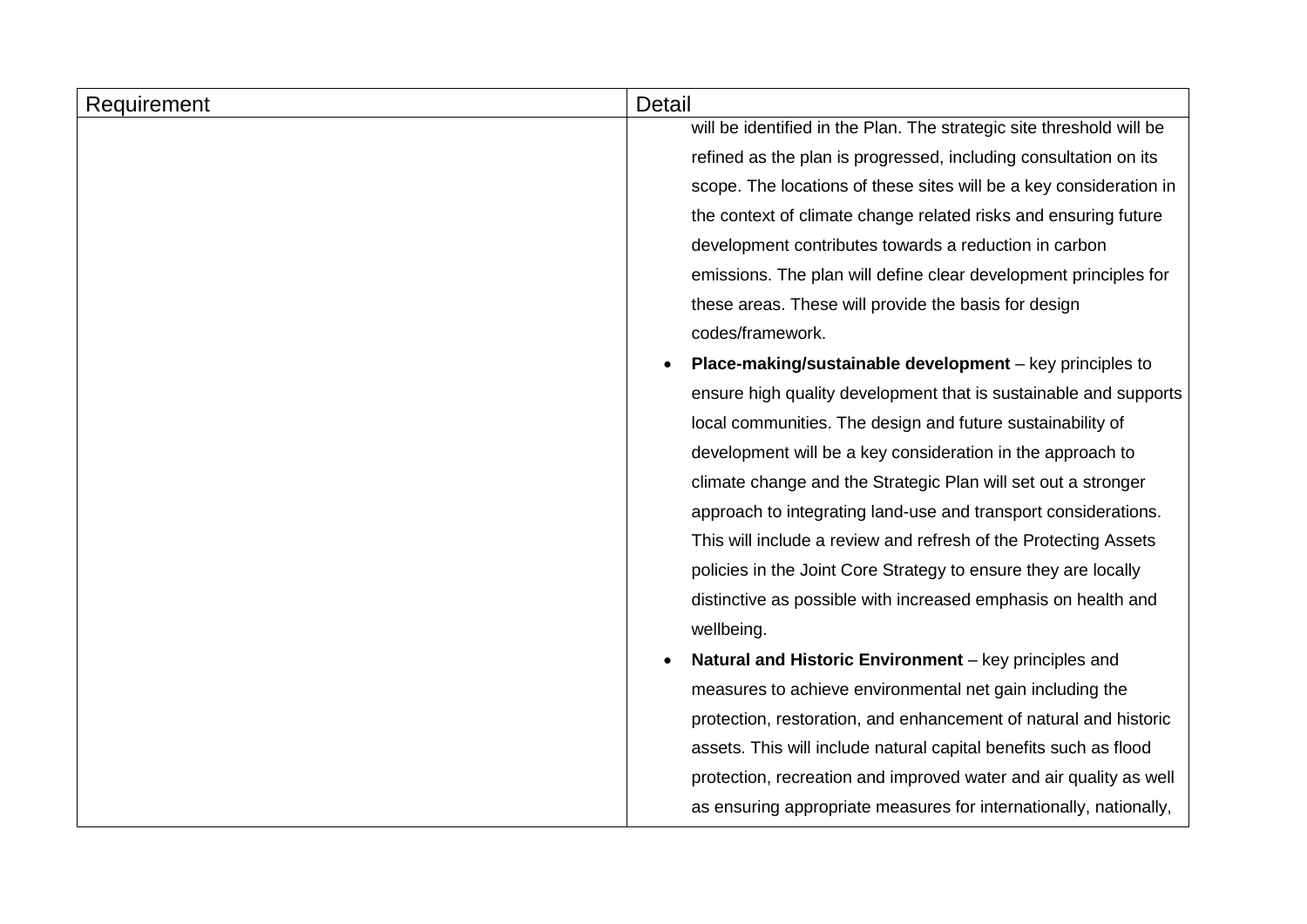| Requirement | Detail                                                               |
|-------------|----------------------------------------------------------------------|
|             | will be identified in the Plan. The strategic site threshold will be |
|             | refined as the plan is progressed, including consultation on its     |
|             | scope. The locations of these sites will be a key consideration in   |
|             | the context of climate change related risks and ensuring future      |
|             | development contributes towards a reduction in carbon                |
|             | emissions. The plan will define clear development principles for     |
|             | these areas. These will provide the basis for design                 |
|             | codes/framework.                                                     |
|             | Place-making/sustainable development - key principles to             |
|             | ensure high quality development that is sustainable and supports     |
|             | local communities. The design and future sustainability of           |
|             | development will be a key consideration in the approach to           |
|             | climate change and the Strategic Plan will set out a stronger        |
|             | approach to integrating land-use and transport considerations.       |
|             | This will include a review and refresh of the Protecting Assets      |
|             | policies in the Joint Core Strategy to ensure they are locally       |
|             | distinctive as possible with increased emphasis on health and        |
|             | wellbeing.                                                           |
|             | Natural and Historic Environment - key principles and                |
|             | measures to achieve environmental net gain including the             |
|             | protection, restoration, and enhancement of natural and historic     |
|             | assets. This will include natural capital benefits such as flood     |
|             | protection, recreation and improved water and air quality as well    |
|             | as ensuring appropriate measures for internationally, nationally,    |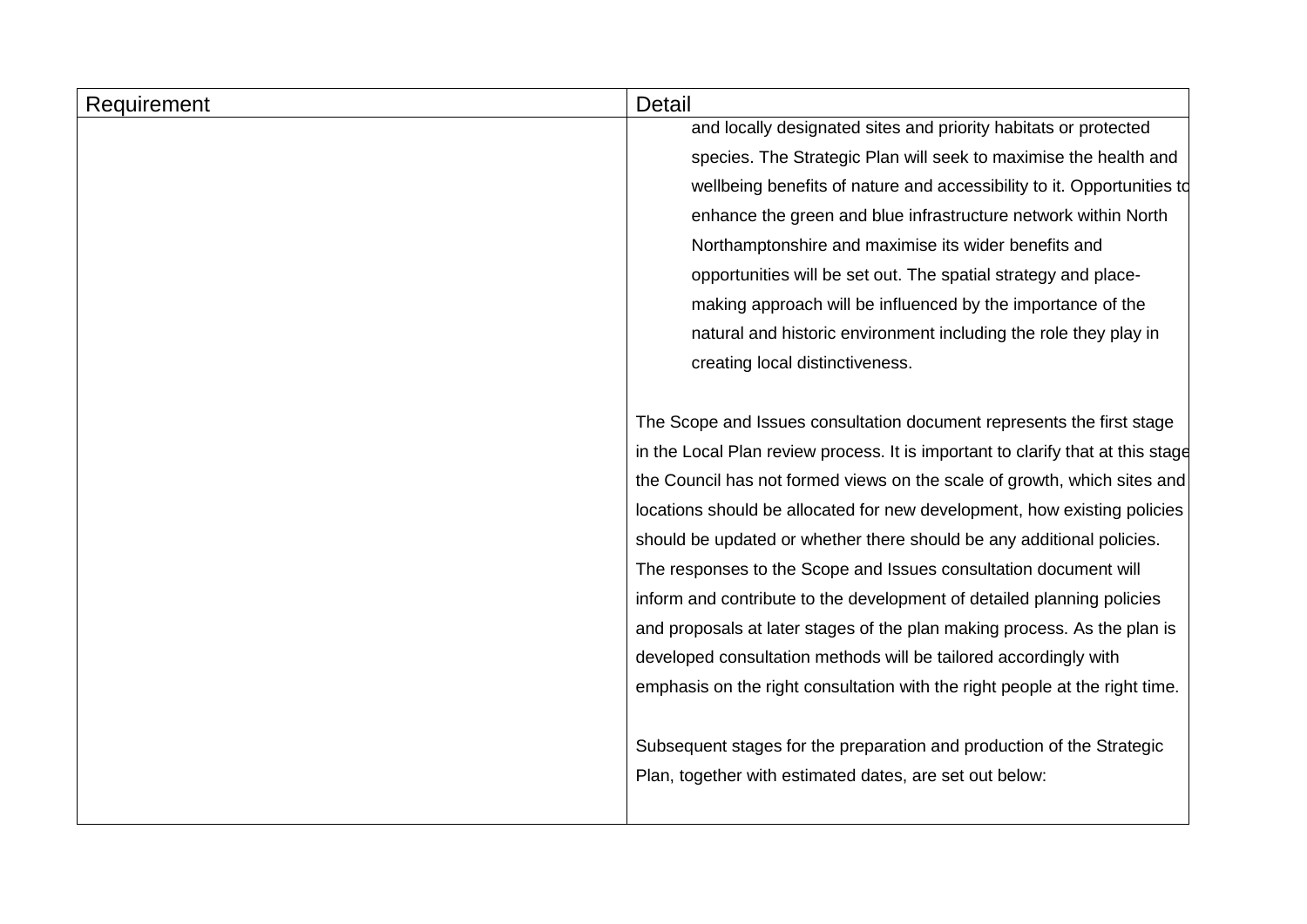| Requirement | Detail                                                                                                                                                                                                                                                                                                                                                                               |  |
|-------------|--------------------------------------------------------------------------------------------------------------------------------------------------------------------------------------------------------------------------------------------------------------------------------------------------------------------------------------------------------------------------------------|--|
|             | and locally designated sites and priority habitats or protected                                                                                                                                                                                                                                                                                                                      |  |
|             | species. The Strategic Plan will seek to maximise the health and                                                                                                                                                                                                                                                                                                                     |  |
|             | wellbeing benefits of nature and accessibility to it. Opportunities td                                                                                                                                                                                                                                                                                                               |  |
|             | enhance the green and blue infrastructure network within North                                                                                                                                                                                                                                                                                                                       |  |
|             | Northamptonshire and maximise its wider benefits and<br>opportunities will be set out. The spatial strategy and place-                                                                                                                                                                                                                                                               |  |
|             |                                                                                                                                                                                                                                                                                                                                                                                      |  |
|             | making approach will be influenced by the importance of the                                                                                                                                                                                                                                                                                                                          |  |
|             | natural and historic environment including the role they play in                                                                                                                                                                                                                                                                                                                     |  |
|             | creating local distinctiveness.                                                                                                                                                                                                                                                                                                                                                      |  |
|             |                                                                                                                                                                                                                                                                                                                                                                                      |  |
|             | The Scope and Issues consultation document represents the first stage                                                                                                                                                                                                                                                                                                                |  |
|             | in the Local Plan review process. It is important to clarify that at this stage<br>the Council has not formed views on the scale of growth, which sites and<br>locations should be allocated for new development, how existing policies<br>should be updated or whether there should be any additional policies.<br>The responses to the Scope and Issues consultation document will |  |
|             |                                                                                                                                                                                                                                                                                                                                                                                      |  |
|             |                                                                                                                                                                                                                                                                                                                                                                                      |  |
|             |                                                                                                                                                                                                                                                                                                                                                                                      |  |
|             |                                                                                                                                                                                                                                                                                                                                                                                      |  |
|             | inform and contribute to the development of detailed planning policies                                                                                                                                                                                                                                                                                                               |  |
|             | and proposals at later stages of the plan making process. As the plan is                                                                                                                                                                                                                                                                                                             |  |
|             | developed consultation methods will be tailored accordingly with                                                                                                                                                                                                                                                                                                                     |  |
|             | emphasis on the right consultation with the right people at the right time.                                                                                                                                                                                                                                                                                                          |  |
|             |                                                                                                                                                                                                                                                                                                                                                                                      |  |
|             | Subsequent stages for the preparation and production of the Strategic                                                                                                                                                                                                                                                                                                                |  |
|             | Plan, together with estimated dates, are set out below:                                                                                                                                                                                                                                                                                                                              |  |
|             |                                                                                                                                                                                                                                                                                                                                                                                      |  |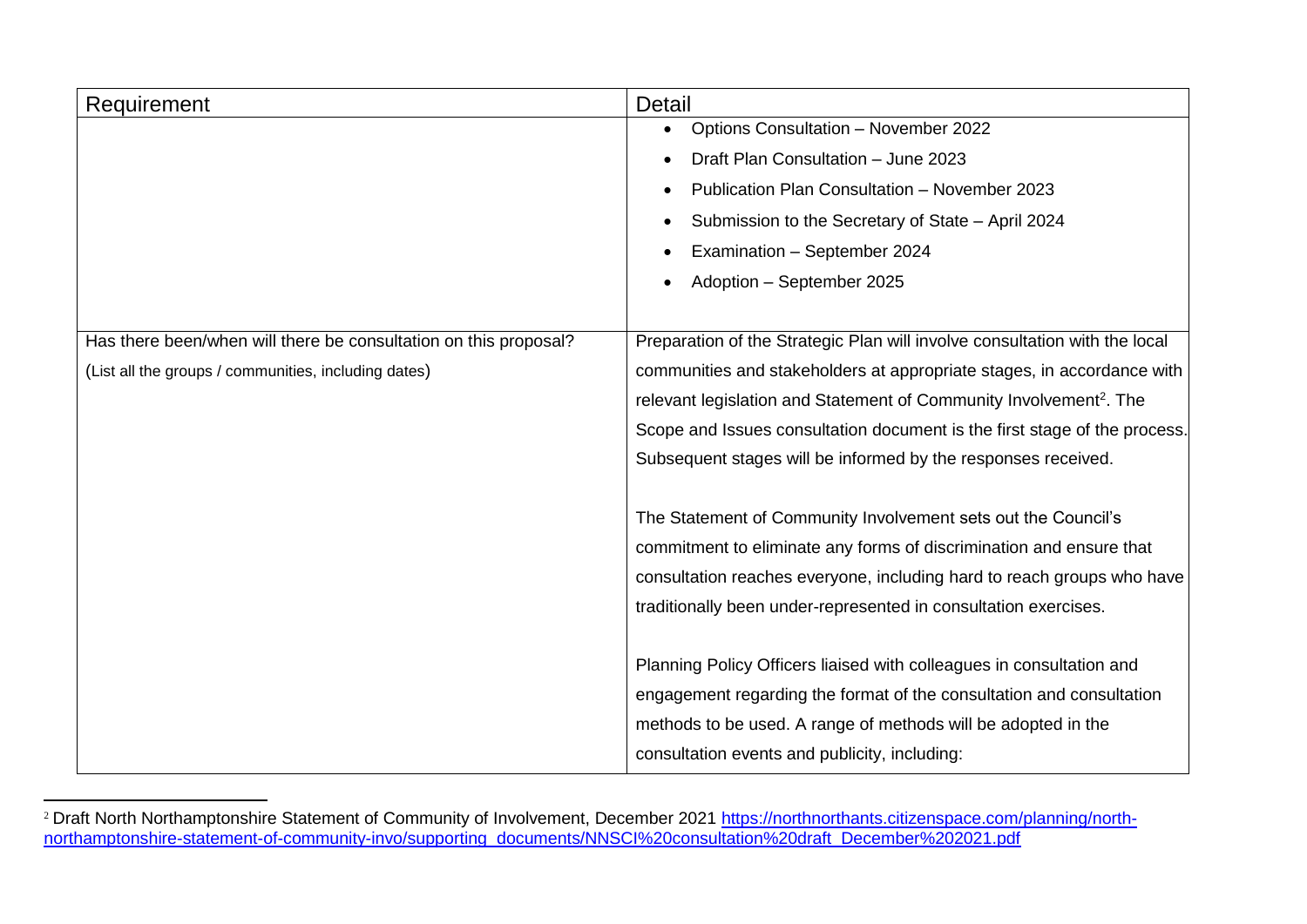| Requirement                                                      | Detail                                                                         |
|------------------------------------------------------------------|--------------------------------------------------------------------------------|
|                                                                  | Options Consultation - November 2022                                           |
|                                                                  | Draft Plan Consultation - June 2023                                            |
|                                                                  | Publication Plan Consultation - November 2023                                  |
|                                                                  | Submission to the Secretary of State - April 2024                              |
|                                                                  | Examination - September 2024                                                   |
|                                                                  | Adoption - September 2025                                                      |
|                                                                  |                                                                                |
| Has there been/when will there be consultation on this proposal? | Preparation of the Strategic Plan will involve consultation with the local     |
| (List all the groups / communities, including dates)             | communities and stakeholders at appropriate stages, in accordance with         |
|                                                                  | relevant legislation and Statement of Community Involvement <sup>2</sup> . The |
|                                                                  | Scope and Issues consultation document is the first stage of the process.      |
|                                                                  | Subsequent stages will be informed by the responses received.                  |
|                                                                  |                                                                                |
|                                                                  | The Statement of Community Involvement sets out the Council's                  |
|                                                                  | commitment to eliminate any forms of discrimination and ensure that            |
|                                                                  | consultation reaches everyone, including hard to reach groups who have         |
|                                                                  | traditionally been under-represented in consultation exercises.                |
|                                                                  |                                                                                |
|                                                                  | Planning Policy Officers liaised with colleagues in consultation and           |
|                                                                  | engagement regarding the format of the consultation and consultation           |
|                                                                  | methods to be used. A range of methods will be adopted in the                  |
|                                                                  | consultation events and publicity, including:                                  |

<sup>&</sup>lt;sup>2</sup> Draft North Northamptonshire Statement of Community of Involvement, December 2021 [https://northnorthants.citizenspace.com/planning/north](https://northnorthants.citizenspace.com/planning/north-northamptonshire-statement-of-community-invo/supporting_documents/NNSCI%20consultation%20draft_December%202021.pdf)[northamptonshire-statement-of-community-invo/supporting\\_documents/NNSCI%20consultation%20draft\\_December%202021.pdf](https://northnorthants.citizenspace.com/planning/north-northamptonshire-statement-of-community-invo/supporting_documents/NNSCI%20consultation%20draft_December%202021.pdf)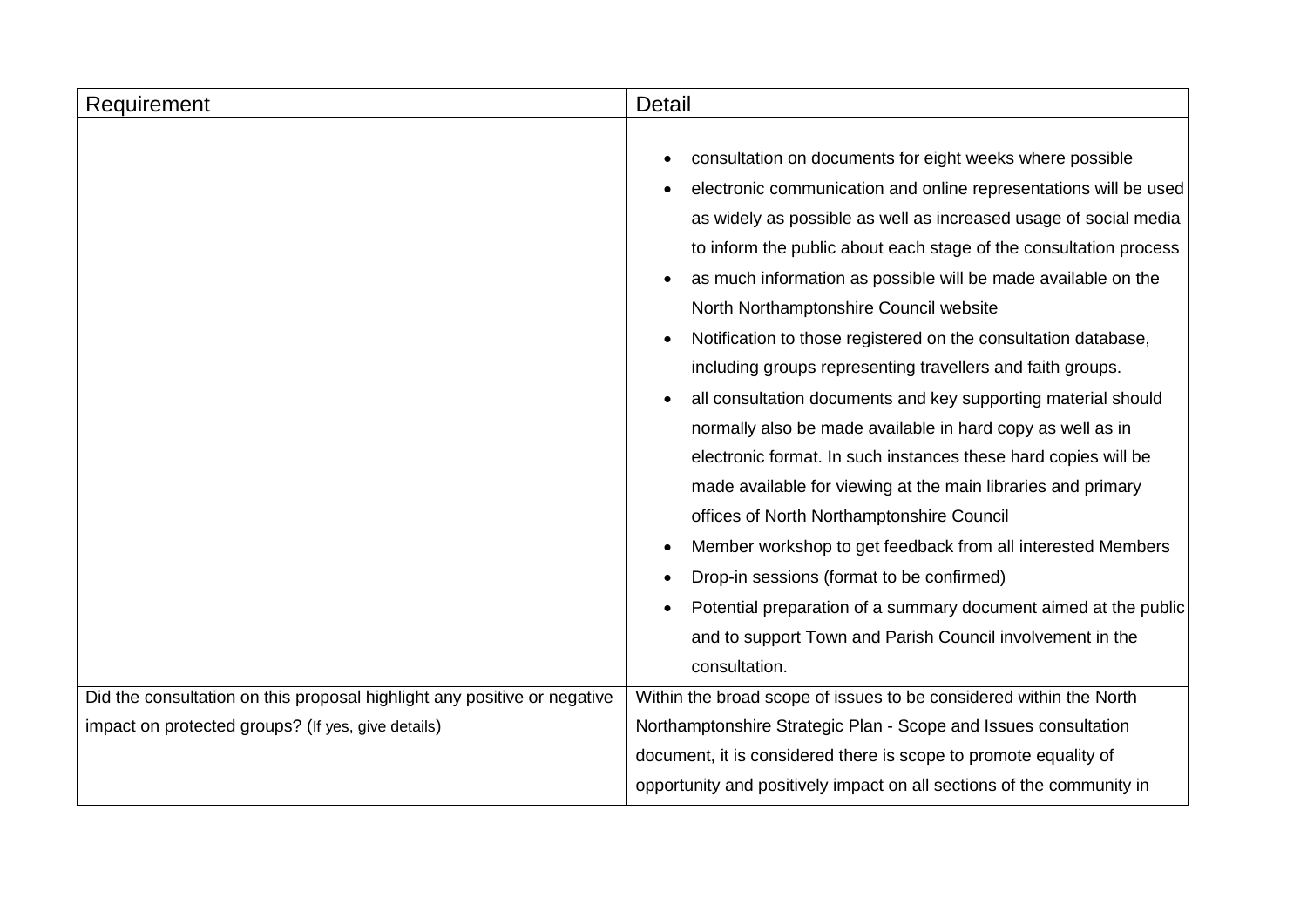| Requirement                                                              | Detail                                                                                                                                                                                                                                                                                                                                                                                                                                                                                                                                                                                                                                                                                                                                                                                                                                                                                                                                                                                                                                                                                                                                                    |
|--------------------------------------------------------------------------|-----------------------------------------------------------------------------------------------------------------------------------------------------------------------------------------------------------------------------------------------------------------------------------------------------------------------------------------------------------------------------------------------------------------------------------------------------------------------------------------------------------------------------------------------------------------------------------------------------------------------------------------------------------------------------------------------------------------------------------------------------------------------------------------------------------------------------------------------------------------------------------------------------------------------------------------------------------------------------------------------------------------------------------------------------------------------------------------------------------------------------------------------------------|
|                                                                          | consultation on documents for eight weeks where possible<br>$\bullet$<br>electronic communication and online representations will be used<br>٠<br>as widely as possible as well as increased usage of social media<br>to inform the public about each stage of the consultation process<br>as much information as possible will be made available on the<br>North Northamptonshire Council website<br>Notification to those registered on the consultation database,<br>$\bullet$<br>including groups representing travellers and faith groups.<br>all consultation documents and key supporting material should<br>$\bullet$<br>normally also be made available in hard copy as well as in<br>electronic format. In such instances these hard copies will be<br>made available for viewing at the main libraries and primary<br>offices of North Northamptonshire Council<br>Member workshop to get feedback from all interested Members<br>٠<br>Drop-in sessions (format to be confirmed)<br>Potential preparation of a summary document aimed at the public<br>$\bullet$<br>and to support Town and Parish Council involvement in the<br>consultation. |
| Did the consultation on this proposal highlight any positive or negative | Within the broad scope of issues to be considered within the North                                                                                                                                                                                                                                                                                                                                                                                                                                                                                                                                                                                                                                                                                                                                                                                                                                                                                                                                                                                                                                                                                        |
| impact on protected groups? (If yes, give details)                       | Northamptonshire Strategic Plan - Scope and Issues consultation                                                                                                                                                                                                                                                                                                                                                                                                                                                                                                                                                                                                                                                                                                                                                                                                                                                                                                                                                                                                                                                                                           |
|                                                                          | document, it is considered there is scope to promote equality of                                                                                                                                                                                                                                                                                                                                                                                                                                                                                                                                                                                                                                                                                                                                                                                                                                                                                                                                                                                                                                                                                          |
|                                                                          | opportunity and positively impact on all sections of the community in                                                                                                                                                                                                                                                                                                                                                                                                                                                                                                                                                                                                                                                                                                                                                                                                                                                                                                                                                                                                                                                                                     |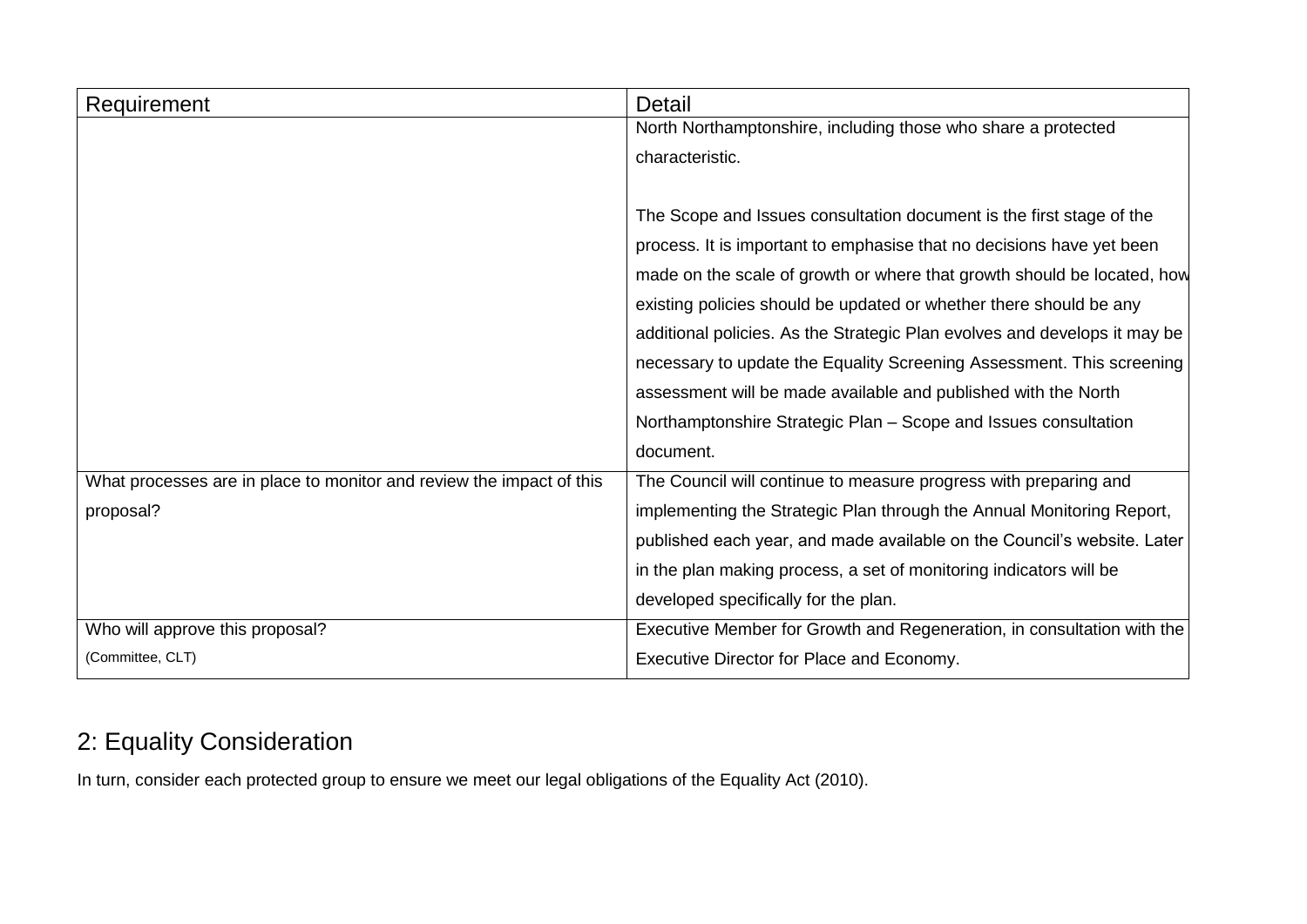| Requirement                                                          | Detail                                                                    |
|----------------------------------------------------------------------|---------------------------------------------------------------------------|
|                                                                      | North Northamptonshire, including those who share a protected             |
|                                                                      | characteristic.                                                           |
|                                                                      |                                                                           |
|                                                                      | The Scope and Issues consultation document is the first stage of the      |
|                                                                      | process. It is important to emphasise that no decisions have yet been     |
|                                                                      | made on the scale of growth or where that growth should be located, how   |
|                                                                      | existing policies should be updated or whether there should be any        |
|                                                                      | additional policies. As the Strategic Plan evolves and develops it may be |
|                                                                      | necessary to update the Equality Screening Assessment. This screening     |
|                                                                      | assessment will be made available and published with the North            |
|                                                                      | Northamptonshire Strategic Plan - Scope and Issues consultation           |
|                                                                      | document.                                                                 |
| What processes are in place to monitor and review the impact of this | The Council will continue to measure progress with preparing and          |
| proposal?                                                            | implementing the Strategic Plan through the Annual Monitoring Report,     |
|                                                                      | published each year, and made available on the Council's website. Later   |
|                                                                      | in the plan making process, a set of monitoring indicators will be        |
|                                                                      | developed specifically for the plan.                                      |
| Who will approve this proposal?                                      | Executive Member for Growth and Regeneration, in consultation with the    |
| (Committee, CLT)                                                     | Executive Director for Place and Economy.                                 |

### 2: Equality Consideration

In turn, consider each protected group to ensure we meet our legal obligations of the Equality Act (2010).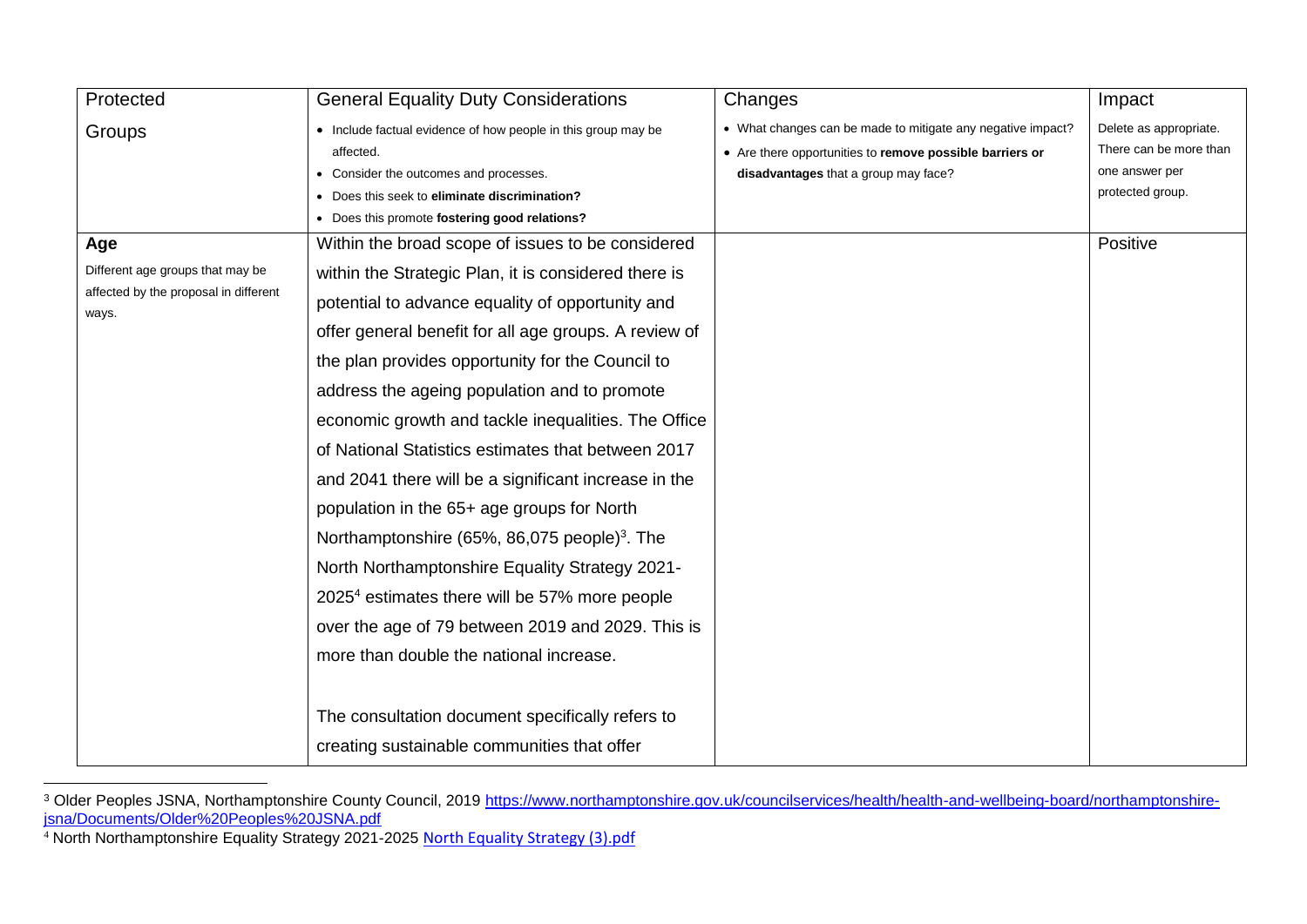| Protected                                                                                 | <b>General Equality Duty Considerations</b>                                                                                                                                                                                                                                                                                                                                                                                                                                                                                                                                                                                                                                                                                                                                                                                                                                  | Changes                                                                                                                                                         | Impact                                                                                 |
|-------------------------------------------------------------------------------------------|------------------------------------------------------------------------------------------------------------------------------------------------------------------------------------------------------------------------------------------------------------------------------------------------------------------------------------------------------------------------------------------------------------------------------------------------------------------------------------------------------------------------------------------------------------------------------------------------------------------------------------------------------------------------------------------------------------------------------------------------------------------------------------------------------------------------------------------------------------------------------|-----------------------------------------------------------------------------------------------------------------------------------------------------------------|----------------------------------------------------------------------------------------|
| Groups                                                                                    | • Include factual evidence of how people in this group may be<br>affected.<br>• Consider the outcomes and processes.<br>• Does this seek to eliminate discrimination?<br>• Does this promote fostering good relations?                                                                                                                                                                                                                                                                                                                                                                                                                                                                                                                                                                                                                                                       | • What changes can be made to mitigate any negative impact?<br>• Are there opportunities to remove possible barriers or<br>disadvantages that a group may face? | Delete as appropriate.<br>There can be more than<br>one answer per<br>protected group. |
| Age<br>Different age groups that may be<br>affected by the proposal in different<br>ways. | Within the broad scope of issues to be considered<br>within the Strategic Plan, it is considered there is<br>potential to advance equality of opportunity and<br>offer general benefit for all age groups. A review of<br>the plan provides opportunity for the Council to<br>address the ageing population and to promote<br>economic growth and tackle inequalities. The Office<br>of National Statistics estimates that between 2017<br>and 2041 there will be a significant increase in the<br>population in the 65+ age groups for North<br>Northamptonshire (65%, 86,075 people) <sup>3</sup> . The<br>North Northamptonshire Equality Strategy 2021-<br>2025 <sup>4</sup> estimates there will be 57% more people<br>over the age of 79 between 2019 and 2029. This is<br>more than double the national increase.<br>The consultation document specifically refers to |                                                                                                                                                                 | Positive                                                                               |
|                                                                                           | creating sustainable communities that offer                                                                                                                                                                                                                                                                                                                                                                                                                                                                                                                                                                                                                                                                                                                                                                                                                                  |                                                                                                                                                                 |                                                                                        |

<sup>&</sup>lt;sup>3</sup> Older Peoples JSNA, Northamptonshire County Council, 2019 [https://www.northamptonshire.gov.uk/councilservices/health/health-and-wellbeing-board/northamptonshire](https://www.northamptonshire.gov.uk/councilservices/health/health-and-wellbeing-board/northamptonshire-jsna/Documents/Older%20Peoples%20JSNA.pdf)[jsna/Documents/Older%20Peoples%20JSNA.pdf](https://www.northamptonshire.gov.uk/councilservices/health/health-and-wellbeing-board/northamptonshire-jsna/Documents/Older%20Peoples%20JSNA.pdf)

<sup>&</sup>lt;sup>4</sup> North Northamptonshire Equality Strategy 2021-2025 [North Equality Strategy \(3\).pdf](file:///C:/Users/tbegl/Downloads/North%20Equality%20Strategy%20(3).pdf)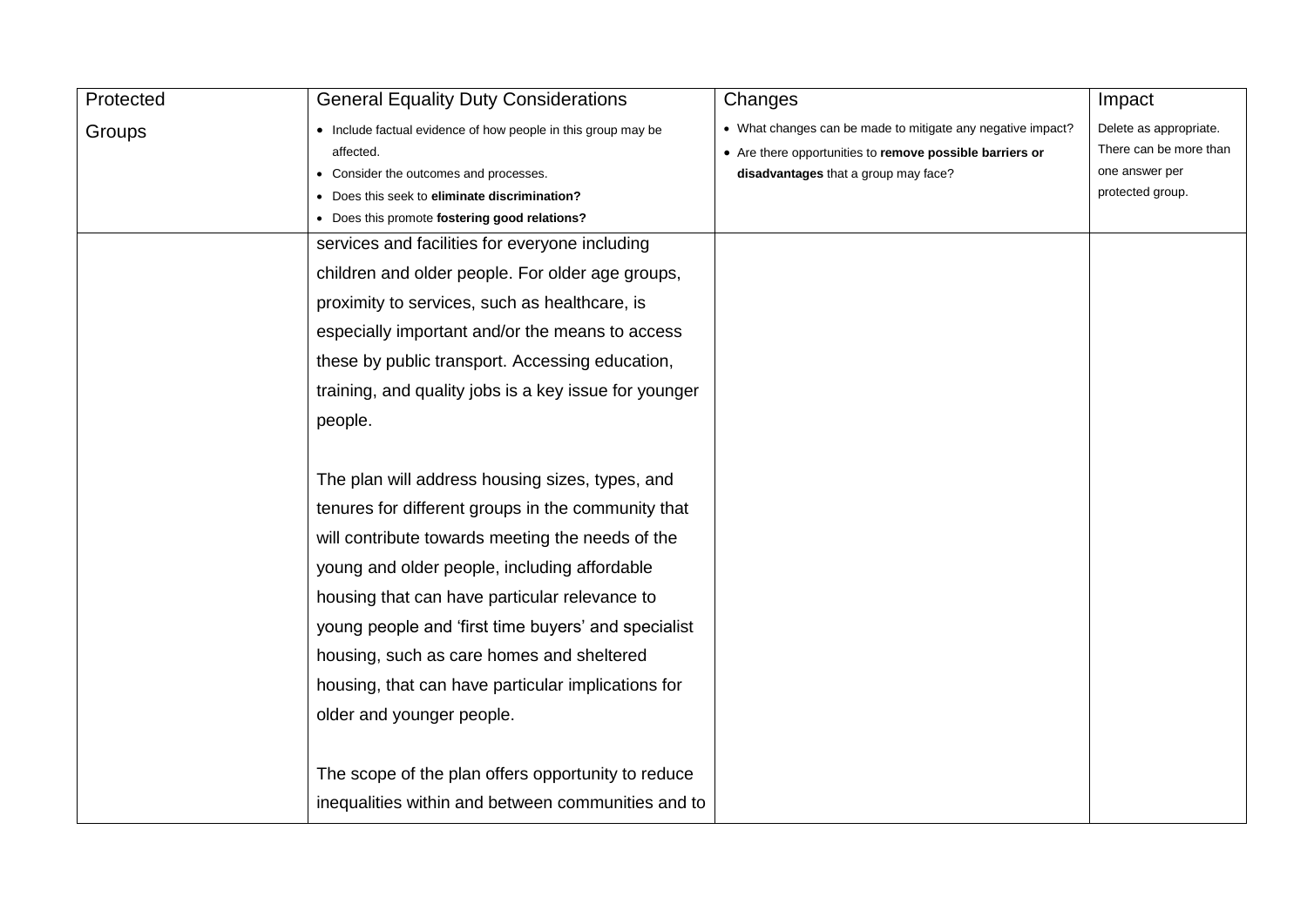| Protected | <b>General Equality Duty Considerations</b>                   | Changes                                                     | Impact                 |
|-----------|---------------------------------------------------------------|-------------------------------------------------------------|------------------------|
| Groups    | • Include factual evidence of how people in this group may be | • What changes can be made to mitigate any negative impact? | Delete as appropriate. |
|           | affected.                                                     | • Are there opportunities to remove possible barriers or    | There can be more than |
|           | Consider the outcomes and processes.                          | disadvantages that a group may face?                        | one answer per         |
|           | • Does this seek to eliminate discrimination?                 |                                                             | protected group.       |
|           | • Does this promote fostering good relations?                 |                                                             |                        |
|           | services and facilities for everyone including                |                                                             |                        |
|           | children and older people. For older age groups,              |                                                             |                        |
|           | proximity to services, such as healthcare, is                 |                                                             |                        |
|           | especially important and/or the means to access               |                                                             |                        |
|           | these by public transport. Accessing education,               |                                                             |                        |
|           | training, and quality jobs is a key issue for younger         |                                                             |                        |
|           | people.                                                       |                                                             |                        |
|           |                                                               |                                                             |                        |
|           | The plan will address housing sizes, types, and               |                                                             |                        |
|           | tenures for different groups in the community that            |                                                             |                        |
|           | will contribute towards meeting the needs of the              |                                                             |                        |
|           | young and older people, including affordable                  |                                                             |                        |
|           | housing that can have particular relevance to                 |                                                             |                        |
|           | young people and 'first time buyers' and specialist           |                                                             |                        |
|           | housing, such as care homes and sheltered                     |                                                             |                        |
|           | housing, that can have particular implications for            |                                                             |                        |
|           | older and younger people.                                     |                                                             |                        |
|           |                                                               |                                                             |                        |
|           | The scope of the plan offers opportunity to reduce            |                                                             |                        |
|           | inequalities within and between communities and to            |                                                             |                        |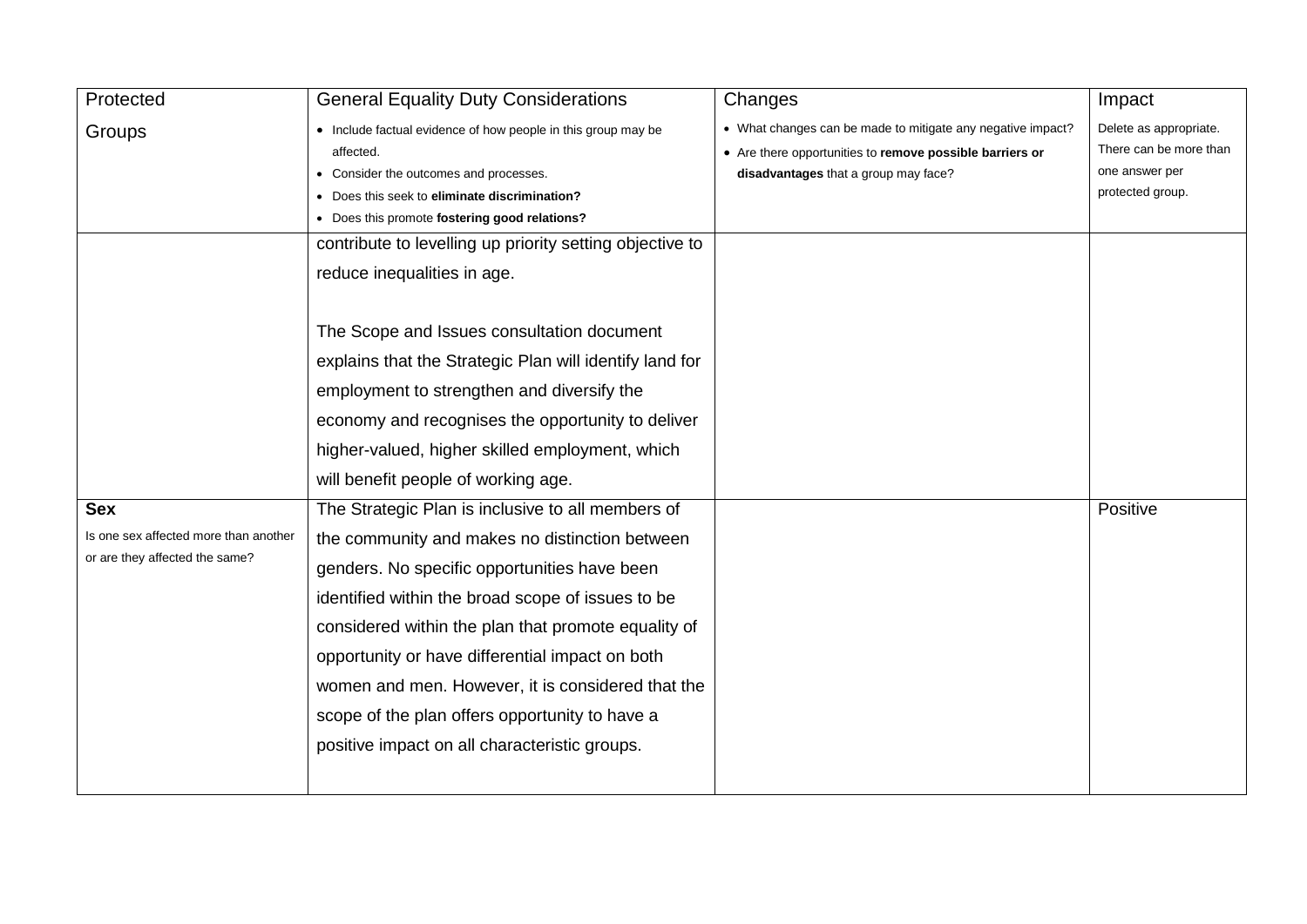| Protected                                                               | <b>General Equality Duty Considerations</b>                                                                                                                                                                                                                                                                                                                                                                           | Changes                                                                                                                                                         | Impact                                                                                 |
|-------------------------------------------------------------------------|-----------------------------------------------------------------------------------------------------------------------------------------------------------------------------------------------------------------------------------------------------------------------------------------------------------------------------------------------------------------------------------------------------------------------|-----------------------------------------------------------------------------------------------------------------------------------------------------------------|----------------------------------------------------------------------------------------|
| Groups                                                                  | • Include factual evidence of how people in this group may be<br>affected.<br>• Consider the outcomes and processes.<br>• Does this seek to eliminate discrimination?<br>• Does this promote fostering good relations?<br>contribute to levelling up priority setting objective to<br>reduce inequalities in age.                                                                                                     | • What changes can be made to mitigate any negative impact?<br>• Are there opportunities to remove possible barriers or<br>disadvantages that a group may face? | Delete as appropriate.<br>There can be more than<br>one answer per<br>protected group. |
| <b>Sex</b>                                                              | The Scope and Issues consultation document<br>explains that the Strategic Plan will identify land for<br>employment to strengthen and diversify the<br>economy and recognises the opportunity to deliver<br>higher-valued, higher skilled employment, which<br>will benefit people of working age.<br>The Strategic Plan is inclusive to all members of                                                               |                                                                                                                                                                 | Positive                                                                               |
| Is one sex affected more than another<br>or are they affected the same? | the community and makes no distinction between<br>genders. No specific opportunities have been<br>identified within the broad scope of issues to be<br>considered within the plan that promote equality of<br>opportunity or have differential impact on both<br>women and men. However, it is considered that the<br>scope of the plan offers opportunity to have a<br>positive impact on all characteristic groups. |                                                                                                                                                                 |                                                                                        |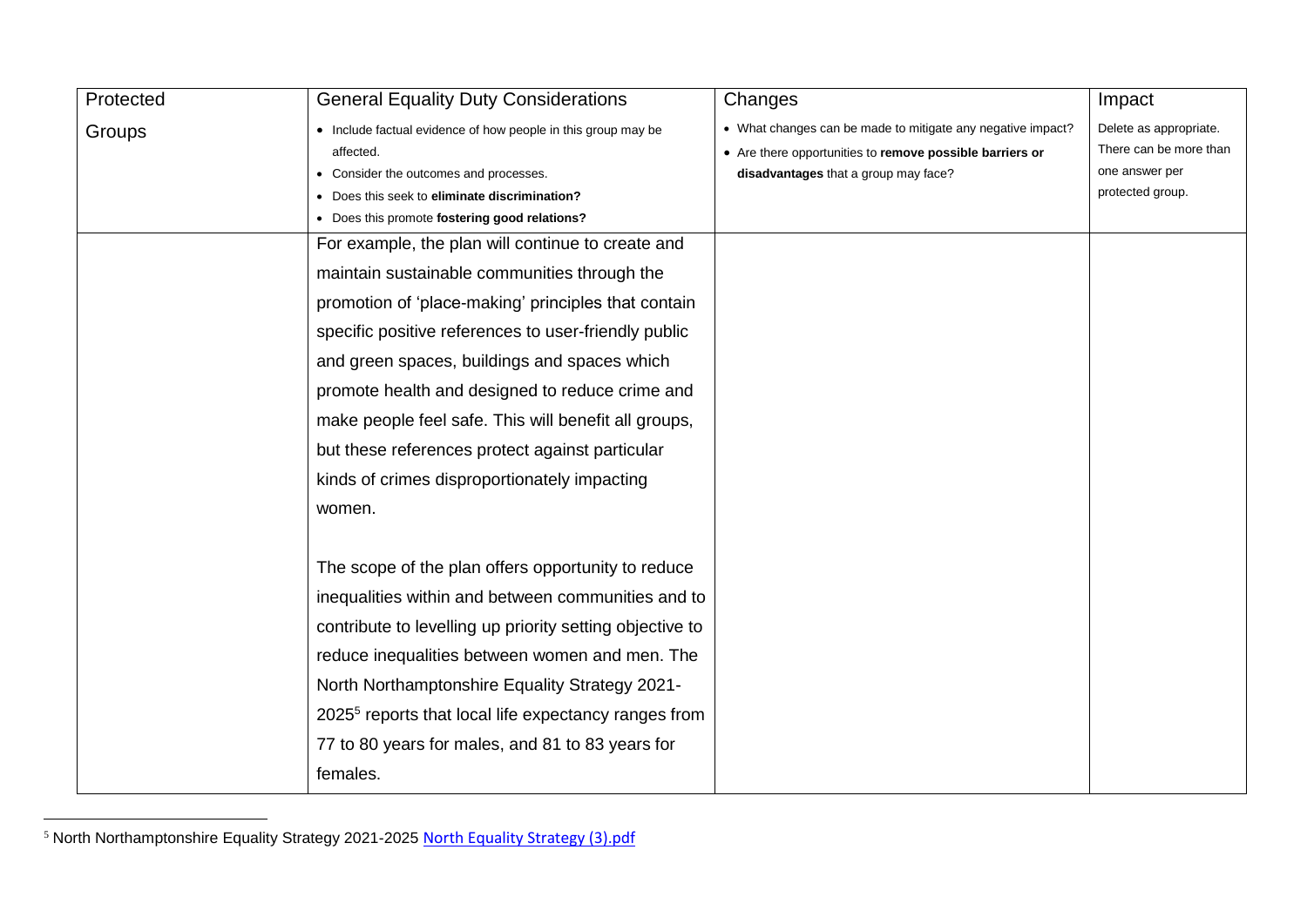| Protected | <b>General Equality Duty Considerations</b>                      | Changes                                                     | Impact                 |
|-----------|------------------------------------------------------------------|-------------------------------------------------------------|------------------------|
| Groups    | • Include factual evidence of how people in this group may be    | • What changes can be made to mitigate any negative impact? | Delete as appropriate. |
|           | affected.                                                        | • Are there opportunities to remove possible barriers or    | There can be more than |
|           | • Consider the outcomes and processes.                           | disadvantages that a group may face?                        | one answer per         |
|           | • Does this seek to eliminate discrimination?                    |                                                             | protected group.       |
|           | • Does this promote fostering good relations?                    |                                                             |                        |
|           | For example, the plan will continue to create and                |                                                             |                        |
|           | maintain sustainable communities through the                     |                                                             |                        |
|           | promotion of 'place-making' principles that contain              |                                                             |                        |
|           | specific positive references to user-friendly public             |                                                             |                        |
|           | and green spaces, buildings and spaces which                     |                                                             |                        |
|           | promote health and designed to reduce crime and                  |                                                             |                        |
|           | make people feel safe. This will benefit all groups,             |                                                             |                        |
|           | but these references protect against particular                  |                                                             |                        |
|           | kinds of crimes disproportionately impacting                     |                                                             |                        |
|           | women.                                                           |                                                             |                        |
|           | The scope of the plan offers opportunity to reduce               |                                                             |                        |
|           | inequalities within and between communities and to               |                                                             |                        |
|           | contribute to levelling up priority setting objective to         |                                                             |                        |
|           | reduce inequalities between women and men. The                   |                                                             |                        |
|           | North Northamptonshire Equality Strategy 2021-                   |                                                             |                        |
|           | 2025 <sup>5</sup> reports that local life expectancy ranges from |                                                             |                        |
|           | 77 to 80 years for males, and 81 to 83 years for                 |                                                             |                        |
|           | females.                                                         |                                                             |                        |

<sup>&</sup>lt;sup>5</sup> North Northamptonshire Equality Strategy 2021-2025 [North Equality Strategy \(3\).pdf](file:///C:/Users/tbegl/Downloads/North%20Equality%20Strategy%20(3).pdf)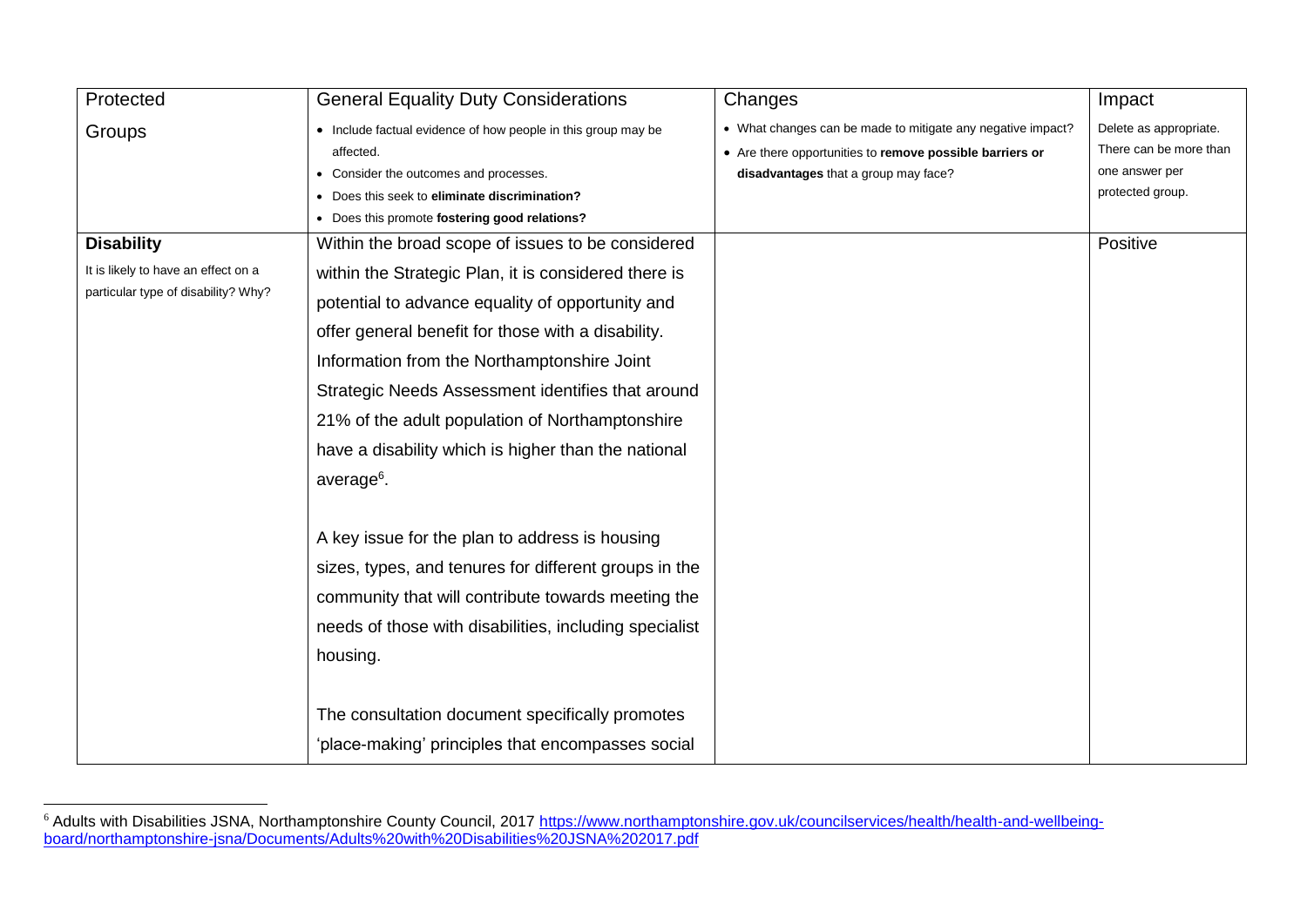| Protected                           | <b>General Equality Duty Considerations</b>                                                                                                                           | Changes                                                                                                                                                         | Impact                                                                                 |
|-------------------------------------|-----------------------------------------------------------------------------------------------------------------------------------------------------------------------|-----------------------------------------------------------------------------------------------------------------------------------------------------------------|----------------------------------------------------------------------------------------|
| Groups                              | • Include factual evidence of how people in this group may be<br>affected.<br>• Consider the outcomes and processes.<br>• Does this seek to eliminate discrimination? | • What changes can be made to mitigate any negative impact?<br>• Are there opportunities to remove possible barriers or<br>disadvantages that a group may face? | Delete as appropriate.<br>There can be more than<br>one answer per<br>protected group. |
|                                     | • Does this promote fostering good relations?                                                                                                                         |                                                                                                                                                                 |                                                                                        |
| <b>Disability</b>                   | Within the broad scope of issues to be considered                                                                                                                     |                                                                                                                                                                 | Positive                                                                               |
| It is likely to have an effect on a | within the Strategic Plan, it is considered there is                                                                                                                  |                                                                                                                                                                 |                                                                                        |
| particular type of disability? Why? | potential to advance equality of opportunity and                                                                                                                      |                                                                                                                                                                 |                                                                                        |
|                                     | offer general benefit for those with a disability.                                                                                                                    |                                                                                                                                                                 |                                                                                        |
|                                     | Information from the Northamptonshire Joint                                                                                                                           |                                                                                                                                                                 |                                                                                        |
|                                     | Strategic Needs Assessment identifies that around                                                                                                                     |                                                                                                                                                                 |                                                                                        |
|                                     | 21% of the adult population of Northamptonshire                                                                                                                       |                                                                                                                                                                 |                                                                                        |
|                                     | have a disability which is higher than the national                                                                                                                   |                                                                                                                                                                 |                                                                                        |
|                                     | average <sup>6</sup> .                                                                                                                                                |                                                                                                                                                                 |                                                                                        |
|                                     | A key issue for the plan to address is housing                                                                                                                        |                                                                                                                                                                 |                                                                                        |
|                                     | sizes, types, and tenures for different groups in the                                                                                                                 |                                                                                                                                                                 |                                                                                        |
|                                     | community that will contribute towards meeting the                                                                                                                    |                                                                                                                                                                 |                                                                                        |
|                                     | needs of those with disabilities, including specialist                                                                                                                |                                                                                                                                                                 |                                                                                        |
|                                     | housing.                                                                                                                                                              |                                                                                                                                                                 |                                                                                        |
|                                     |                                                                                                                                                                       |                                                                                                                                                                 |                                                                                        |
|                                     | The consultation document specifically promotes                                                                                                                       |                                                                                                                                                                 |                                                                                        |
|                                     | 'place-making' principles that encompasses social                                                                                                                     |                                                                                                                                                                 |                                                                                        |

 $\overline{a}$ <sup>6</sup> Adults with Disabilities JSNA, Northamptonshire County Council, 2017 [https://www.northamptonshire.gov.uk/councilservices/health/health-and-wellbeing](https://www.northamptonshire.gov.uk/councilservices/health/health-and-wellbeing-board/northamptonshire-jsna/Documents/Adults%20with%20Disabilities%20JSNA%202017.pdf)[board/northamptonshire-jsna/Documents/Adults%20with%20Disabilities%20JSNA%202017.pdf](https://www.northamptonshire.gov.uk/councilservices/health/health-and-wellbeing-board/northamptonshire-jsna/Documents/Adults%20with%20Disabilities%20JSNA%202017.pdf)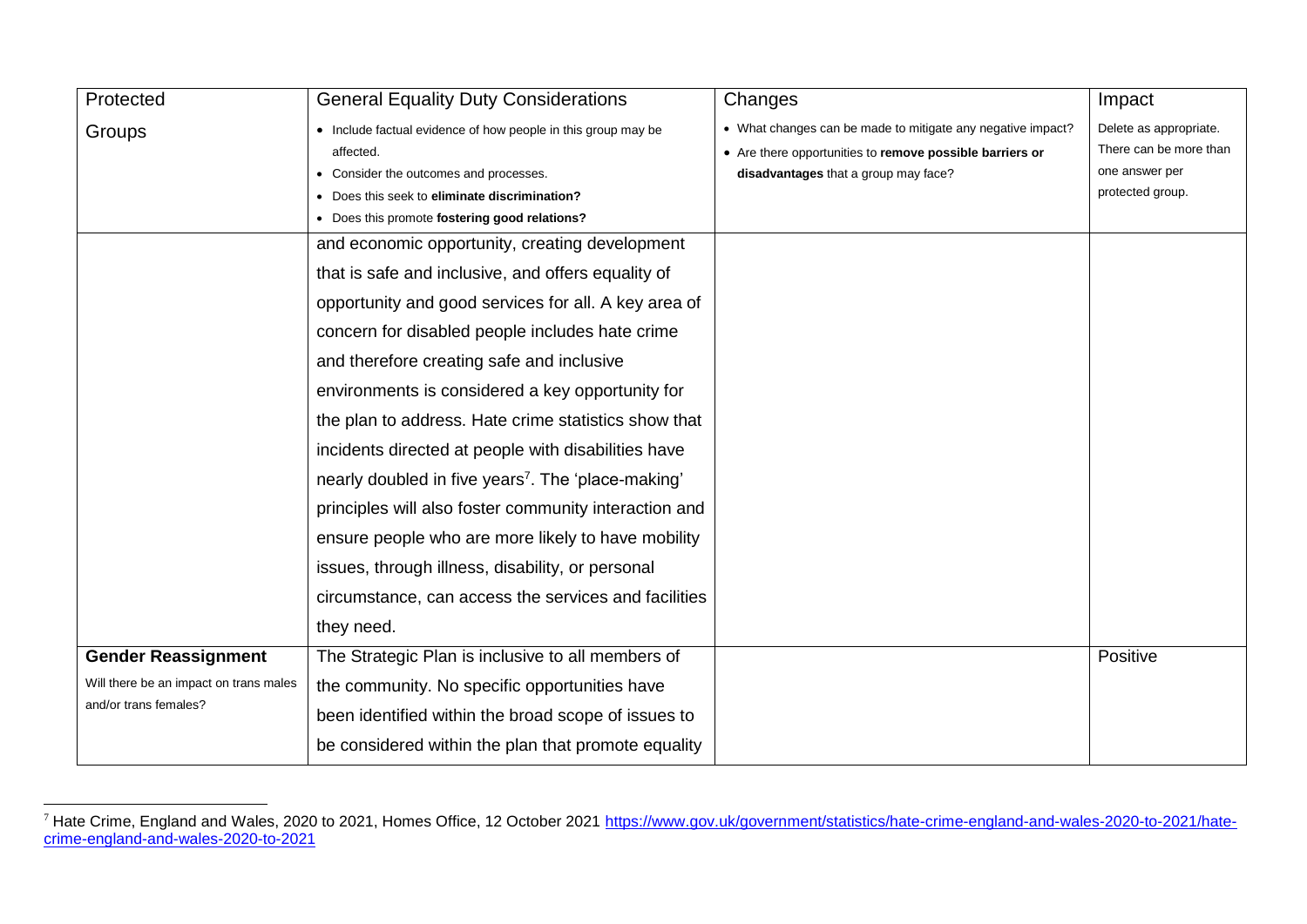| Protected                              | <b>General Equality Duty Considerations</b>                           | Changes                                                     | Impact                 |
|----------------------------------------|-----------------------------------------------------------------------|-------------------------------------------------------------|------------------------|
| Groups                                 | • Include factual evidence of how people in this group may be         | • What changes can be made to mitigate any negative impact? | Delete as appropriate. |
|                                        | • Are there opportunities to remove possible barriers or<br>affected. |                                                             | There can be more than |
|                                        | • Consider the outcomes and processes.                                | disadvantages that a group may face?                        | one answer per         |
|                                        | • Does this seek to eliminate discrimination?                         |                                                             | protected group.       |
|                                        | • Does this promote fostering good relations?                         |                                                             |                        |
|                                        | and economic opportunity, creating development                        |                                                             |                        |
|                                        | that is safe and inclusive, and offers equality of                    |                                                             |                        |
|                                        | opportunity and good services for all. A key area of                  |                                                             |                        |
|                                        | concern for disabled people includes hate crime                       |                                                             |                        |
|                                        | and therefore creating safe and inclusive                             |                                                             |                        |
|                                        | environments is considered a key opportunity for                      |                                                             |                        |
|                                        | the plan to address. Hate crime statistics show that                  |                                                             |                        |
|                                        | incidents directed at people with disabilities have                   |                                                             |                        |
|                                        | nearly doubled in five years <sup>7</sup> . The 'place-making'        |                                                             |                        |
|                                        | principles will also foster community interaction and                 |                                                             |                        |
|                                        | ensure people who are more likely to have mobility                    |                                                             |                        |
|                                        | issues, through illness, disability, or personal                      |                                                             |                        |
|                                        | circumstance, can access the services and facilities                  |                                                             |                        |
|                                        | they need.                                                            |                                                             |                        |
| <b>Gender Reassignment</b>             | The Strategic Plan is inclusive to all members of                     |                                                             | Positive               |
| Will there be an impact on trans males | the community. No specific opportunities have                         |                                                             |                        |
| and/or trans females?                  | been identified within the broad scope of issues to                   |                                                             |                        |
|                                        | be considered within the plan that promote equality                   |                                                             |                        |

 $\overline{a}$ <sup>7</sup> Hate Crime, England and Wales, 2020 to 2021, Homes Office, 12 October 2021 [https://www.gov.uk/government/statistics/hate-crime-england-and-wales-2020-to-2021/hate](https://www.gov.uk/government/statistics/hate-crime-england-and-wales-2020-to-2021/hate-crime-england-and-wales-2020-to-2021)[crime-england-and-wales-2020-to-2021](https://www.gov.uk/government/statistics/hate-crime-england-and-wales-2020-to-2021/hate-crime-england-and-wales-2020-to-2021)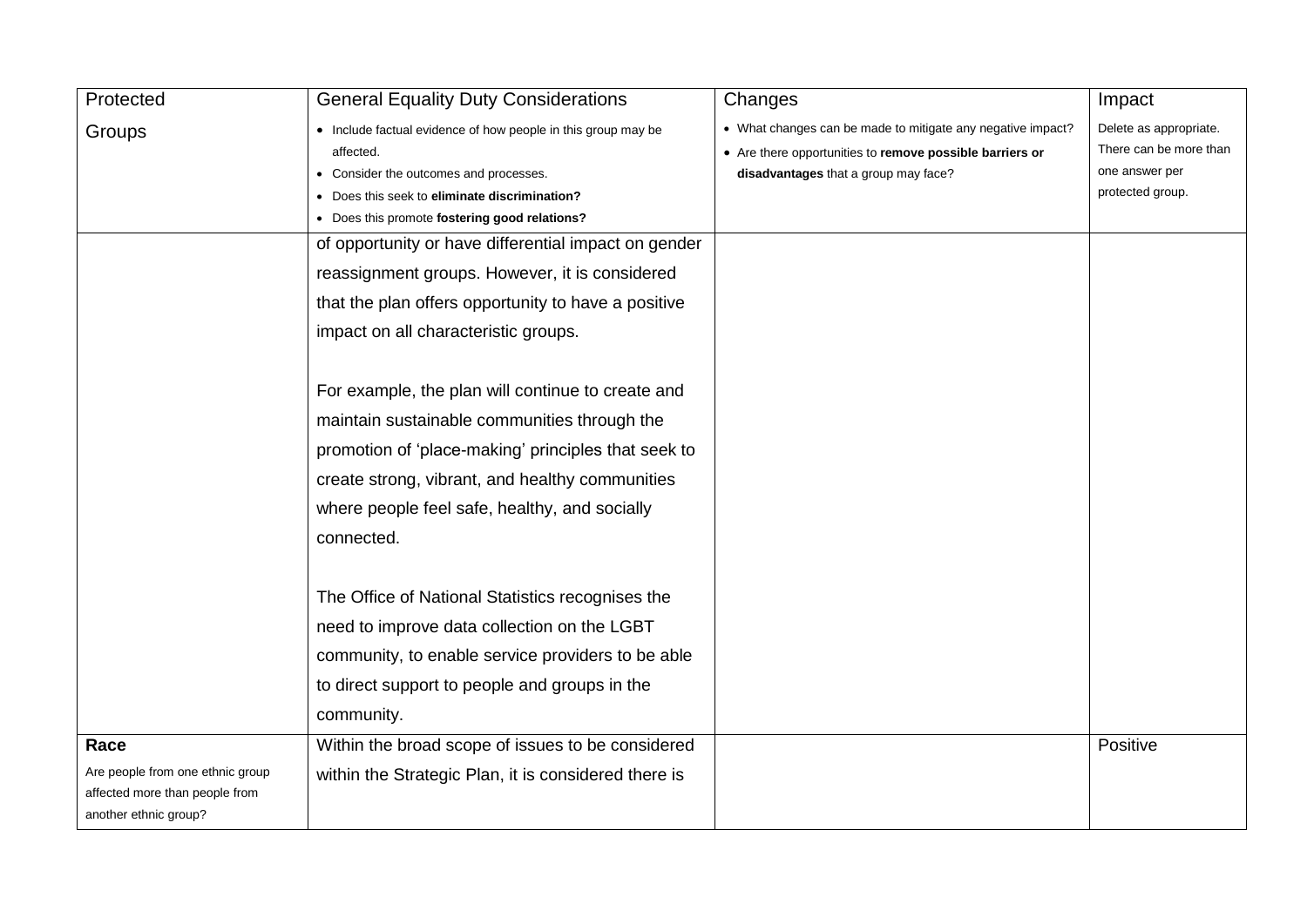| Protected                        | <b>General Equality Duty Considerations</b>                   | Changes                                                     | Impact                 |
|----------------------------------|---------------------------------------------------------------|-------------------------------------------------------------|------------------------|
| Groups                           | • Include factual evidence of how people in this group may be | • What changes can be made to mitigate any negative impact? | Delete as appropriate. |
|                                  | affected.                                                     | • Are there opportunities to remove possible barriers or    | There can be more than |
|                                  | • Consider the outcomes and processes.                        | disadvantages that a group may face?                        | one answer per         |
|                                  | Does this seek to eliminate discrimination?                   |                                                             | protected group.       |
|                                  | • Does this promote fostering good relations?                 |                                                             |                        |
|                                  | of opportunity or have differential impact on gender          |                                                             |                        |
|                                  | reassignment groups. However, it is considered                |                                                             |                        |
|                                  | that the plan offers opportunity to have a positive           |                                                             |                        |
|                                  | impact on all characteristic groups.                          |                                                             |                        |
|                                  |                                                               |                                                             |                        |
|                                  | For example, the plan will continue to create and             |                                                             |                        |
|                                  | maintain sustainable communities through the                  |                                                             |                        |
|                                  | promotion of 'place-making' principles that seek to           |                                                             |                        |
|                                  | create strong, vibrant, and healthy communities               |                                                             |                        |
|                                  | where people feel safe, healthy, and socially                 |                                                             |                        |
|                                  | connected.                                                    |                                                             |                        |
|                                  |                                                               |                                                             |                        |
|                                  | The Office of National Statistics recognises the              |                                                             |                        |
|                                  | need to improve data collection on the LGBT                   |                                                             |                        |
|                                  | community, to enable service providers to be able             |                                                             |                        |
|                                  | to direct support to people and groups in the                 |                                                             |                        |
|                                  | community.                                                    |                                                             |                        |
| Race                             | Within the broad scope of issues to be considered             |                                                             | Positive               |
| Are people from one ethnic group | within the Strategic Plan, it is considered there is          |                                                             |                        |
| affected more than people from   |                                                               |                                                             |                        |
| another ethnic group?            |                                                               |                                                             |                        |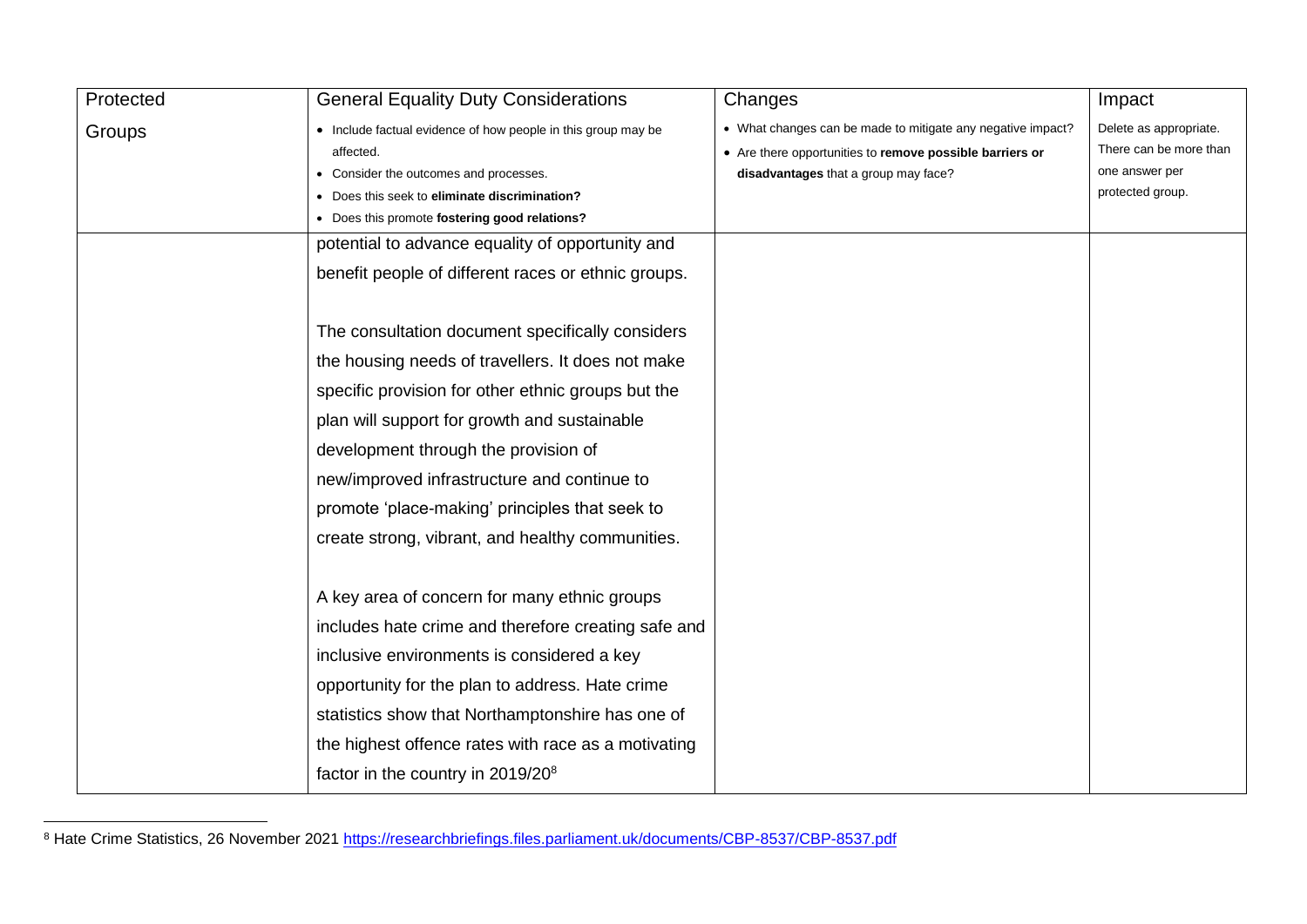| Protected | <b>General Equality Duty Considerations</b>                   | Changes                                                     | Impact                 |
|-----------|---------------------------------------------------------------|-------------------------------------------------------------|------------------------|
| Groups    | • Include factual evidence of how people in this group may be | • What changes can be made to mitigate any negative impact? | Delete as appropriate. |
|           | affected.                                                     | • Are there opportunities to remove possible barriers or    | There can be more than |
|           | • Consider the outcomes and processes.                        | disadvantages that a group may face?                        | one answer per         |
|           | • Does this seek to eliminate discrimination?                 |                                                             | protected group.       |
|           | • Does this promote fostering good relations?                 |                                                             |                        |
|           | potential to advance equality of opportunity and              |                                                             |                        |
|           | benefit people of different races or ethnic groups.           |                                                             |                        |
|           | The consultation document specifically considers              |                                                             |                        |
|           | the housing needs of travellers. It does not make             |                                                             |                        |
|           | specific provision for other ethnic groups but the            |                                                             |                        |
|           | plan will support for growth and sustainable                  |                                                             |                        |
|           | development through the provision of                          |                                                             |                        |
|           | new/improved infrastructure and continue to                   |                                                             |                        |
|           | promote 'place-making' principles that seek to                |                                                             |                        |
|           | create strong, vibrant, and healthy communities.              |                                                             |                        |
|           |                                                               |                                                             |                        |
|           | A key area of concern for many ethnic groups                  |                                                             |                        |
|           | includes hate crime and therefore creating safe and           |                                                             |                        |
|           | inclusive environments is considered a key                    |                                                             |                        |
|           | opportunity for the plan to address. Hate crime               |                                                             |                        |
|           | statistics show that Northamptonshire has one of              |                                                             |                        |
|           | the highest offence rates with race as a motivating           |                                                             |                        |
|           | factor in the country in 2019/20 <sup>8</sup>                 |                                                             |                        |

<sup>&</sup>lt;sup>8</sup> Hate Crime Statistics, 26 November 2021<https://researchbriefings.files.parliament.uk/documents/CBP-8537/CBP-8537.pdf>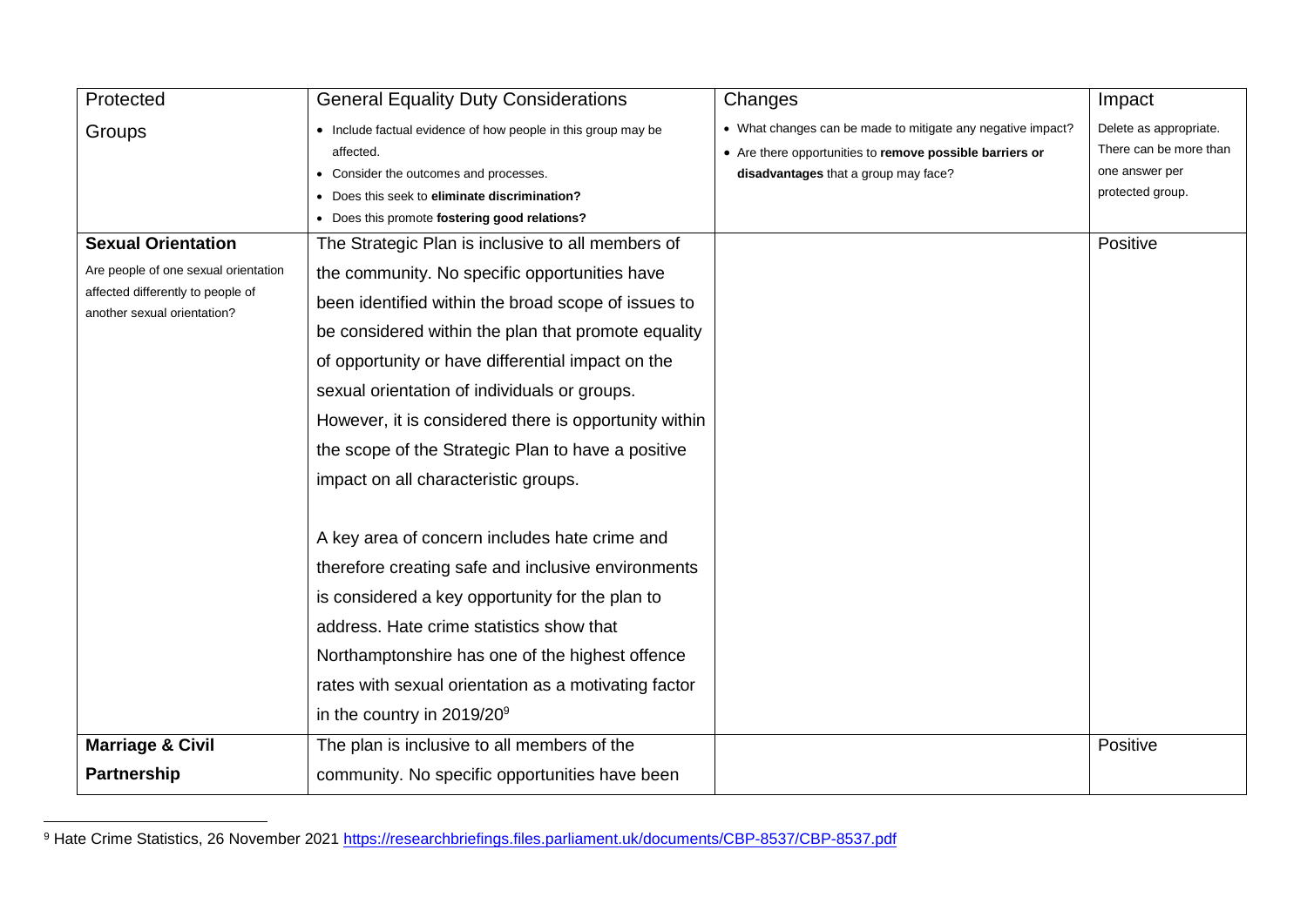| Protected                                                        | <b>General Equality Duty Considerations</b>                   | Changes                                                     | Impact                 |
|------------------------------------------------------------------|---------------------------------------------------------------|-------------------------------------------------------------|------------------------|
| Groups                                                           | • Include factual evidence of how people in this group may be | • What changes can be made to mitigate any negative impact? | Delete as appropriate. |
|                                                                  | affected.                                                     | • Are there opportunities to remove possible barriers or    | There can be more than |
|                                                                  | • Consider the outcomes and processes.                        | disadvantages that a group may face?                        | one answer per         |
|                                                                  | • Does this seek to eliminate discrimination?                 |                                                             | protected group.       |
|                                                                  | • Does this promote fostering good relations?                 |                                                             |                        |
| <b>Sexual Orientation</b>                                        | The Strategic Plan is inclusive to all members of             |                                                             | Positive               |
| Are people of one sexual orientation                             | the community. No specific opportunities have                 |                                                             |                        |
| affected differently to people of<br>another sexual orientation? | been identified within the broad scope of issues to           |                                                             |                        |
|                                                                  | be considered within the plan that promote equality           |                                                             |                        |
|                                                                  | of opportunity or have differential impact on the             |                                                             |                        |
|                                                                  | sexual orientation of individuals or groups.                  |                                                             |                        |
|                                                                  | However, it is considered there is opportunity within         |                                                             |                        |
|                                                                  | the scope of the Strategic Plan to have a positive            |                                                             |                        |
|                                                                  | impact on all characteristic groups.                          |                                                             |                        |
|                                                                  | A key area of concern includes hate crime and                 |                                                             |                        |
|                                                                  |                                                               |                                                             |                        |
|                                                                  | therefore creating safe and inclusive environments            |                                                             |                        |
|                                                                  | is considered a key opportunity for the plan to               |                                                             |                        |
|                                                                  | address. Hate crime statistics show that                      |                                                             |                        |
|                                                                  | Northamptonshire has one of the highest offence               |                                                             |                        |
|                                                                  | rates with sexual orientation as a motivating factor          |                                                             |                        |
|                                                                  | in the country in $2019/20^9$                                 |                                                             |                        |
| <b>Marriage &amp; Civil</b>                                      | The plan is inclusive to all members of the                   |                                                             | Positive               |
| <b>Partnership</b>                                               | community. No specific opportunities have been                |                                                             |                        |

<sup>&</sup>lt;sup>9</sup> Hate Crime Statistics, 26 November 2021<https://researchbriefings.files.parliament.uk/documents/CBP-8537/CBP-8537.pdf>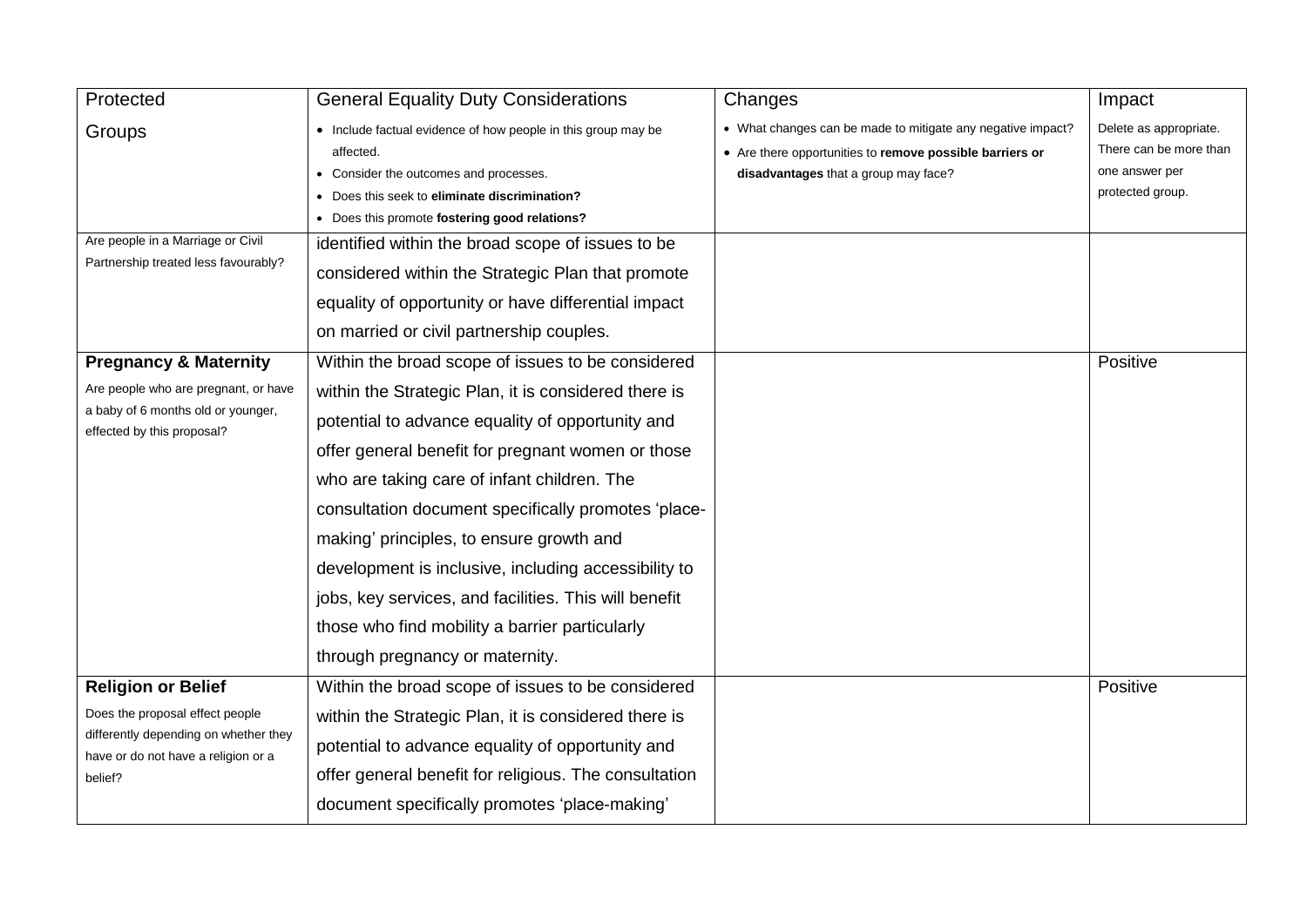| Protected                                                                                                                                               | <b>General Equality Duty Considerations</b>                                                                                                                                                                                                                                                                                                                                                                                                                                                                           | Changes                                                                                                                                                         | Impact                                                                                 |
|---------------------------------------------------------------------------------------------------------------------------------------------------------|-----------------------------------------------------------------------------------------------------------------------------------------------------------------------------------------------------------------------------------------------------------------------------------------------------------------------------------------------------------------------------------------------------------------------------------------------------------------------------------------------------------------------|-----------------------------------------------------------------------------------------------------------------------------------------------------------------|----------------------------------------------------------------------------------------|
| Groups<br>Are people in a Marriage or Civil<br>Partnership treated less favourably?                                                                     | • Include factual evidence of how people in this group may be<br>affected.<br>Consider the outcomes and processes.<br>• Does this seek to eliminate discrimination?<br>• Does this promote fostering good relations?<br>identified within the broad scope of issues to be                                                                                                                                                                                                                                             | • What changes can be made to mitigate any negative impact?<br>• Are there opportunities to remove possible barriers or<br>disadvantages that a group may face? | Delete as appropriate.<br>There can be more than<br>one answer per<br>protected group. |
|                                                                                                                                                         | considered within the Strategic Plan that promote<br>equality of opportunity or have differential impact<br>on married or civil partnership couples.                                                                                                                                                                                                                                                                                                                                                                  |                                                                                                                                                                 |                                                                                        |
| <b>Pregnancy &amp; Maternity</b>                                                                                                                        | Within the broad scope of issues to be considered                                                                                                                                                                                                                                                                                                                                                                                                                                                                     |                                                                                                                                                                 | Positive                                                                               |
| Are people who are pregnant, or have<br>a baby of 6 months old or younger,<br>effected by this proposal?                                                | within the Strategic Plan, it is considered there is<br>potential to advance equality of opportunity and<br>offer general benefit for pregnant women or those<br>who are taking care of infant children. The<br>consultation document specifically promotes 'place-<br>making' principles, to ensure growth and<br>development is inclusive, including accessibility to<br>jobs, key services, and facilities. This will benefit<br>those who find mobility a barrier particularly<br>through pregnancy or maternity. |                                                                                                                                                                 |                                                                                        |
| <b>Religion or Belief</b><br>Does the proposal effect people<br>differently depending on whether they<br>have or do not have a religion or a<br>belief? | Within the broad scope of issues to be considered<br>within the Strategic Plan, it is considered there is<br>potential to advance equality of opportunity and<br>offer general benefit for religious. The consultation<br>document specifically promotes 'place-making'                                                                                                                                                                                                                                               |                                                                                                                                                                 | Positive                                                                               |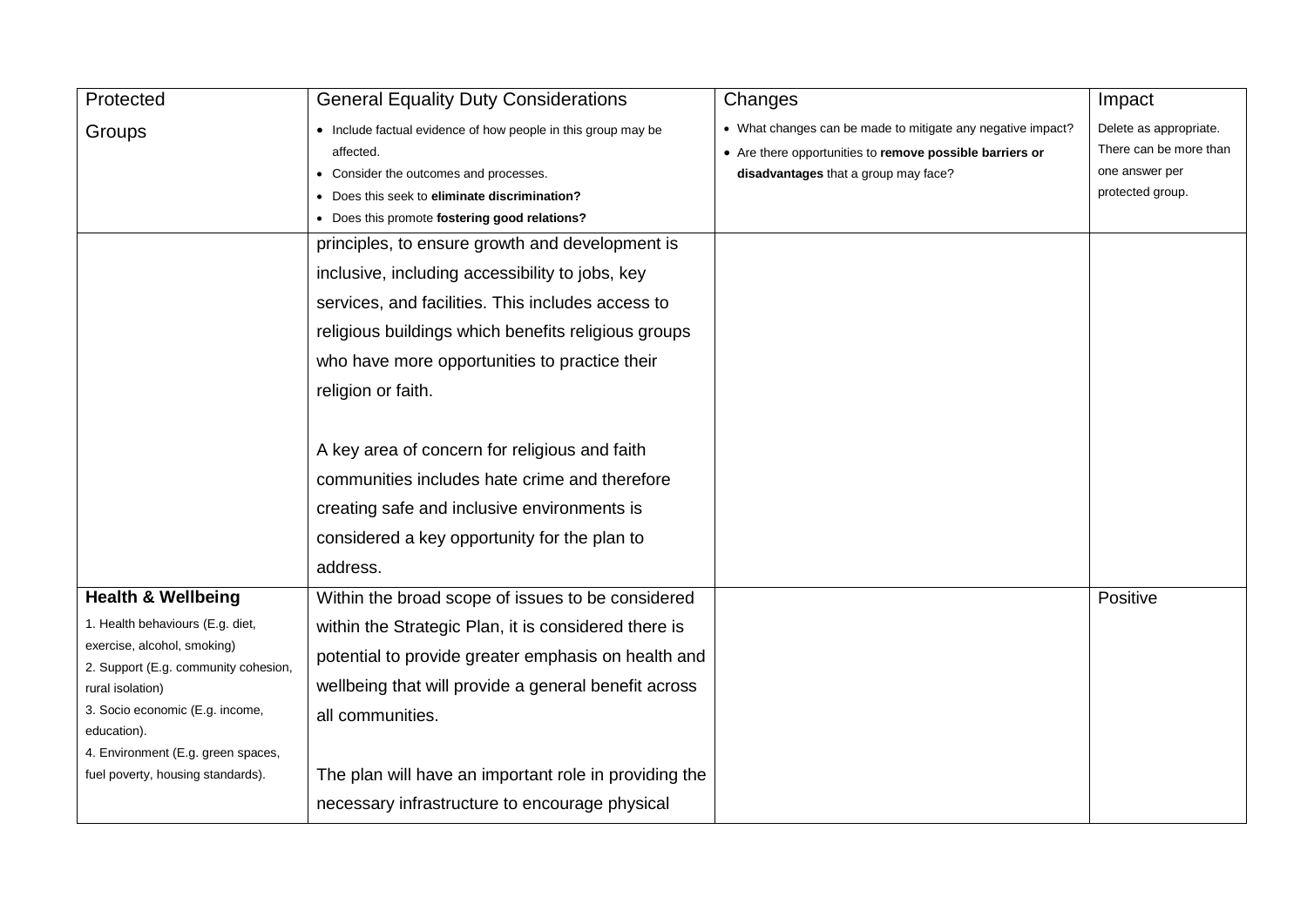| Protected                                                                                                                                                                                                                                                                                 | <b>General Equality Duty Considerations</b>                                                                                                                                                                                                                                                                                                                                             | Changes                                                                                                                                                         | Impact                                                                                 |
|-------------------------------------------------------------------------------------------------------------------------------------------------------------------------------------------------------------------------------------------------------------------------------------------|-----------------------------------------------------------------------------------------------------------------------------------------------------------------------------------------------------------------------------------------------------------------------------------------------------------------------------------------------------------------------------------------|-----------------------------------------------------------------------------------------------------------------------------------------------------------------|----------------------------------------------------------------------------------------|
| Groups                                                                                                                                                                                                                                                                                    | • Include factual evidence of how people in this group may be<br>affected.<br>Consider the outcomes and processes.<br>Does this seek to eliminate discrimination?<br>• Does this promote fostering good relations?                                                                                                                                                                      | • What changes can be made to mitigate any negative impact?<br>• Are there opportunities to remove possible barriers or<br>disadvantages that a group may face? | Delete as appropriate.<br>There can be more than<br>one answer per<br>protected group. |
|                                                                                                                                                                                                                                                                                           | principles, to ensure growth and development is<br>inclusive, including accessibility to jobs, key<br>services, and facilities. This includes access to<br>religious buildings which benefits religious groups<br>who have more opportunities to practice their<br>religion or faith.<br>A key area of concern for religious and faith<br>communities includes hate crime and therefore |                                                                                                                                                                 |                                                                                        |
|                                                                                                                                                                                                                                                                                           | creating safe and inclusive environments is<br>considered a key opportunity for the plan to<br>address.                                                                                                                                                                                                                                                                                 |                                                                                                                                                                 |                                                                                        |
| <b>Health &amp; Wellbeing</b><br>1. Health behaviours (E.g. diet,<br>exercise, alcohol, smoking)<br>2. Support (E.g. community cohesion,<br>rural isolation)<br>3. Socio economic (E.g. income,<br>education).<br>4. Environment (E.g. green spaces,<br>fuel poverty, housing standards). | Within the broad scope of issues to be considered<br>within the Strategic Plan, it is considered there is<br>potential to provide greater emphasis on health and<br>wellbeing that will provide a general benefit across<br>all communities.<br>The plan will have an important role in providing the<br>necessary infrastructure to encourage physical                                 |                                                                                                                                                                 | Positive                                                                               |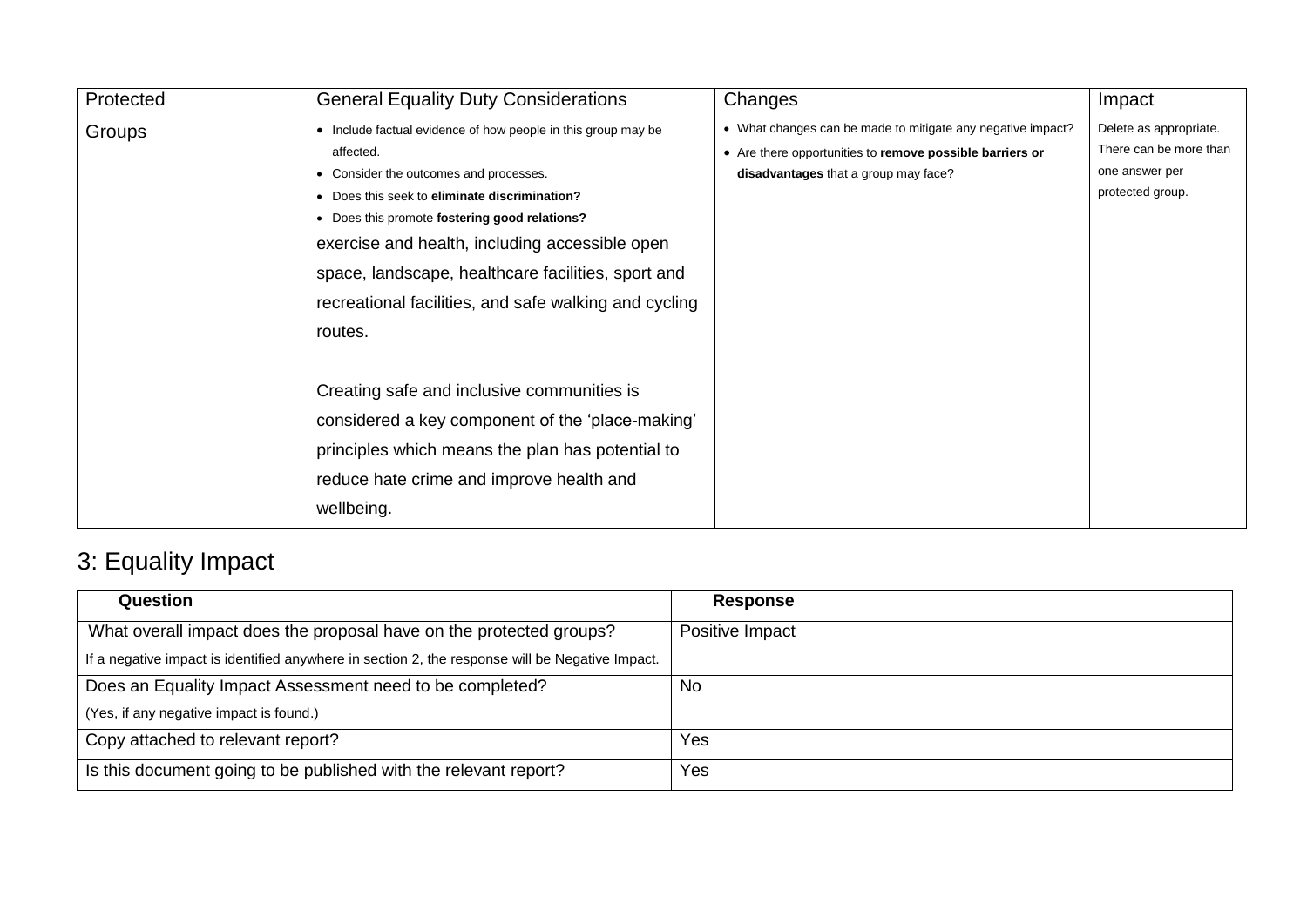| Protected | <b>General Equality Duty Considerations</b>                                                                                                                                                                                                                            | Changes                                                                                                                                                         | Impact                                                                                 |
|-----------|------------------------------------------------------------------------------------------------------------------------------------------------------------------------------------------------------------------------------------------------------------------------|-----------------------------------------------------------------------------------------------------------------------------------------------------------------|----------------------------------------------------------------------------------------|
| Groups    | • Include factual evidence of how people in this group may be<br>affected.<br>Consider the outcomes and processes.<br>• Does this seek to eliminate discrimination?<br>• Does this promote fostering good relations?<br>exercise and health, including accessible open | • What changes can be made to mitigate any negative impact?<br>• Are there opportunities to remove possible barriers or<br>disadvantages that a group may face? | Delete as appropriate.<br>There can be more than<br>one answer per<br>protected group. |
|           | space, landscape, healthcare facilities, sport and<br>recreational facilities, and safe walking and cycling<br>routes.                                                                                                                                                 |                                                                                                                                                                 |                                                                                        |
|           | Creating safe and inclusive communities is<br>considered a key component of the 'place-making'<br>principles which means the plan has potential to<br>reduce hate crime and improve health and<br>wellbeing.                                                           |                                                                                                                                                                 |                                                                                        |

# 3: Equality Impact

| Question                                                                                        | <b>Response</b> |
|-------------------------------------------------------------------------------------------------|-----------------|
| What overall impact does the proposal have on the protected groups?                             | Positive Impact |
| If a negative impact is identified anywhere in section 2, the response will be Negative Impact. |                 |
| Does an Equality Impact Assessment need to be completed?                                        | No              |
| (Yes, if any negative impact is found.)                                                         |                 |
| Copy attached to relevant report?                                                               | Yes             |
| Is this document going to be published with the relevant report?                                | Yes             |